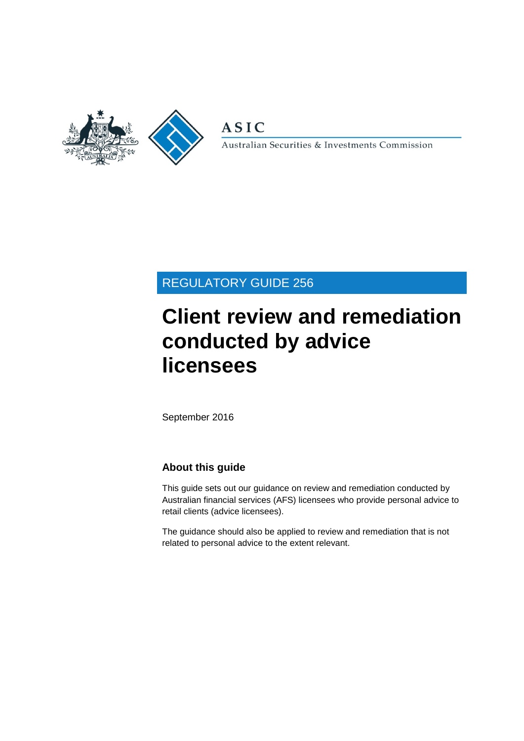

**ASIC** 

Australian Securities & Investments Commission

## REGULATORY GUIDE 256

# **Client review and remediation conducted by advice licensees**

September 2016

## **About this guide**

This guide sets out our guidance on review and remediation conducted by Australian financial services (AFS) licensees who provide personal advice to retail clients (advice licensees).

The guidance should also be applied to review and remediation that is not related to personal advice to the extent relevant.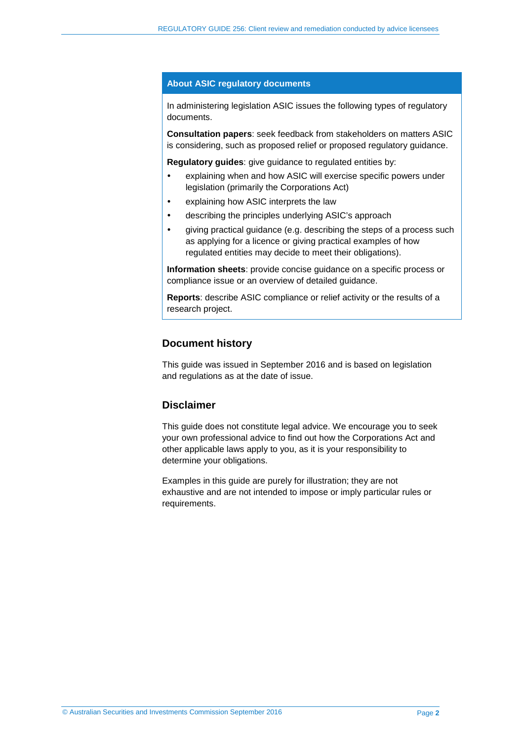#### **About ASIC regulatory documents**

In administering legislation ASIC issues the following types of regulatory documents.

**Consultation papers**: seek feedback from stakeholders on matters ASIC is considering, such as proposed relief or proposed regulatory guidance.

**Regulatory guides**: give guidance to regulated entities by:

- explaining when and how ASIC will exercise specific powers under legislation (primarily the Corporations Act)
- explaining how ASIC interprets the law
- describing the principles underlying ASIC's approach
- giving practical guidance (e.g. describing the steps of a process such as applying for a licence or giving practical examples of how regulated entities may decide to meet their obligations).

**Information sheets**: provide concise guidance on a specific process or compliance issue or an overview of detailed guidance.

**Reports**: describe ASIC compliance or relief activity or the results of a research project.

#### **Document history**

This guide was issued in September 2016 and is based on legislation and regulations as at the date of issue.

#### **Disclaimer**

This guide does not constitute legal advice. We encourage you to seek your own professional advice to find out how the Corporations Act and other applicable laws apply to you, as it is your responsibility to determine your obligations.

Examples in this guide are purely for illustration; they are not exhaustive and are not intended to impose or imply particular rules or requirements.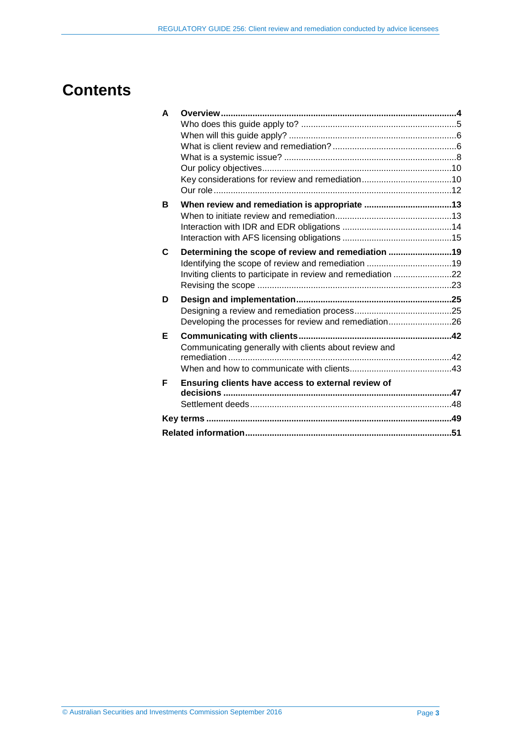## **Contents**

| A | <b>Overview</b>                                              |  |  |  |
|---|--------------------------------------------------------------|--|--|--|
|   |                                                              |  |  |  |
|   |                                                              |  |  |  |
|   |                                                              |  |  |  |
|   |                                                              |  |  |  |
|   |                                                              |  |  |  |
|   |                                                              |  |  |  |
|   |                                                              |  |  |  |
| в |                                                              |  |  |  |
|   |                                                              |  |  |  |
|   |                                                              |  |  |  |
|   |                                                              |  |  |  |
| C | Determining the scope of review and remediation 19           |  |  |  |
|   | Identifying the scope of review and remediation 19           |  |  |  |
|   | Inviting clients to participate in review and remediation 22 |  |  |  |
|   |                                                              |  |  |  |
|   |                                                              |  |  |  |
| D |                                                              |  |  |  |
|   |                                                              |  |  |  |
|   | Developing the processes for review and remediation26        |  |  |  |
| Е |                                                              |  |  |  |
|   | Communicating generally with clients about review and        |  |  |  |
|   |                                                              |  |  |  |
|   |                                                              |  |  |  |
| F | Ensuring clients have access to external review of           |  |  |  |
|   |                                                              |  |  |  |
|   |                                                              |  |  |  |
|   |                                                              |  |  |  |
|   |                                                              |  |  |  |
|   |                                                              |  |  |  |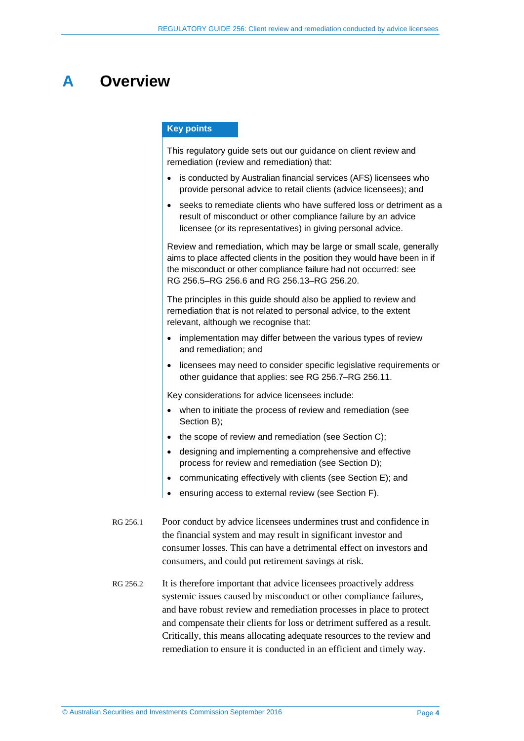## <span id="page-3-0"></span>**A Overview**

#### **Key points**

This regulatory guide sets out our guidance on client review and remediation (review and remediation) that:

- is conducted by Australian financial services (AFS) licensees who provide personal advice to retail clients (advice licensees); and
- seeks to remediate clients who have suffered loss or detriment as a result of misconduct or other compliance failure by an advice licensee (or its representatives) in giving personal advice.

Review and remediation, which may be large or small scale, generally aims to place affected clients in the position they would have been in if the misconduct or other compliance failure had not occurred: see RG [256.5–](#page-4-1)RG [256.6](#page-4-2) and RG [256.13–](#page-5-2)RG [256.20.](#page-7-1)

The principles in this guide should also be applied to review and remediation that is not related to personal advice, to the extent relevant, although we recognise that:

- implementation may differ between the various types of review and remediation; and
- licensees may need to consider specific legislative requirements or other guidance that applies: see RG [256.7–](#page-4-3)RG [256.11.](#page-5-3)

Key considerations for advice licensees include:

- when to initiate the process of review and remediation (see Section [B\)](#page-12-0);
- the scope of review and remediation (see Section [C\)](#page-18-0);
- designing and implementing a comprehensive and effective process for review and remediation (see Section [D\)](#page-24-0);
- communicating effectively with clients (see Section [E\)](#page-41-0); and
- ensuring access to external review (see Section [F\)](#page-46-0).
- RG 256.1 Poor conduct by advice licensees undermines trust and confidence in the financial system and may result in significant investor and consumer losses. This can have a detrimental effect on investors and consumers, and could put retirement savings at risk.
- RG 256.2 It is therefore important that advice licensees proactively address systemic issues caused by misconduct or other compliance failures, and have robust review and remediation processes in place to protect and compensate their clients for loss or detriment suffered as a result. Critically, this means allocating adequate resources to the review and remediation to ensure it is conducted in an efficient and timely way.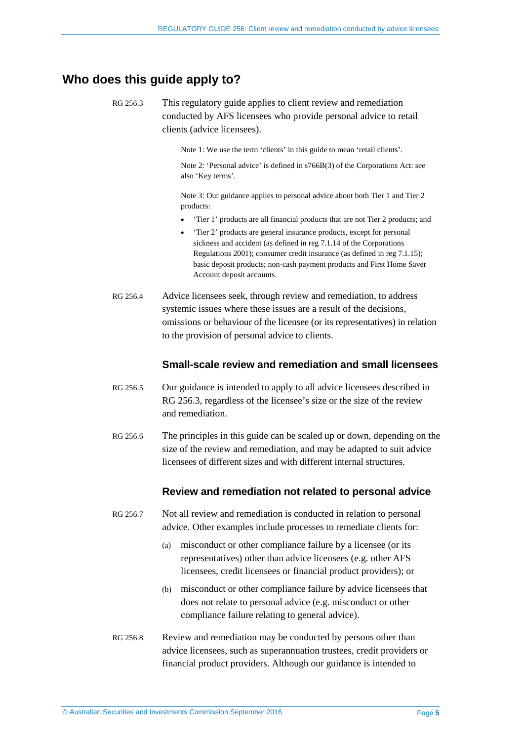## <span id="page-4-4"></span><span id="page-4-0"></span>**Who does this guide apply to?**

RG 256.3 This regulatory guide applies to client review and remediation conducted by AFS licensees who provide personal advice to retail clients (advice licensees).

Note 1: We use the term 'clients' in this guide to mean 'retail clients'.

Note 2: 'Personal advice' is defined in s766B(3) of the Corporations Act: see also 'Key terms'.

Note 3: Our guidance applies to personal advice about both Tier 1 and Tier 2 products:

- 'Tier 1' products are all financial products that are not Tier 2 products; and
- 'Tier 2' products are general insurance products, except for personal sickness and accident (as defined in reg 7.1.14 of the Corporations Regulations 2001); consumer credit insurance (as defined in reg 7.1.15); basic deposit products; non-cash payment products and First Home Saver Account deposit accounts.
- RG 256.4 Advice licensees seek, through review and remediation, to address systemic issues where these issues are a result of the decisions, omissions or behaviour of the licensee (or its representatives) in relation to the provision of personal advice to clients.

## **Small-scale review and remediation and small licensees**

- <span id="page-4-1"></span>RG 256.5 Our guidance is intended to apply to all advice licensees described in [RG 256.3,](#page-4-4) regardless of the licensee's size or the size of the review and remediation.
- <span id="page-4-2"></span>RG 256.6 The principles in this guide can be scaled up or down, depending on the size of the review and remediation, and may be adapted to suit advice licensees of different sizes and with different internal structures.

## **Review and remediation not related to personal advice**

- <span id="page-4-3"></span>RG 256.7 Not all review and remediation is conducted in relation to personal advice. Other examples include processes to remediate clients for:
	- (a) misconduct or other compliance failure by a licensee (or its representatives) other than advice licensees (e.g. other AFS licensees, credit licensees or financial product providers); or
	- (b) misconduct or other compliance failure by advice licensees that does not relate to personal advice (e.g. misconduct or other compliance failure relating to general advice).
- RG 256.8 Review and remediation may be conducted by persons other than advice licensees, such as superannuation trustees, credit providers or financial product providers. Although our guidance is intended to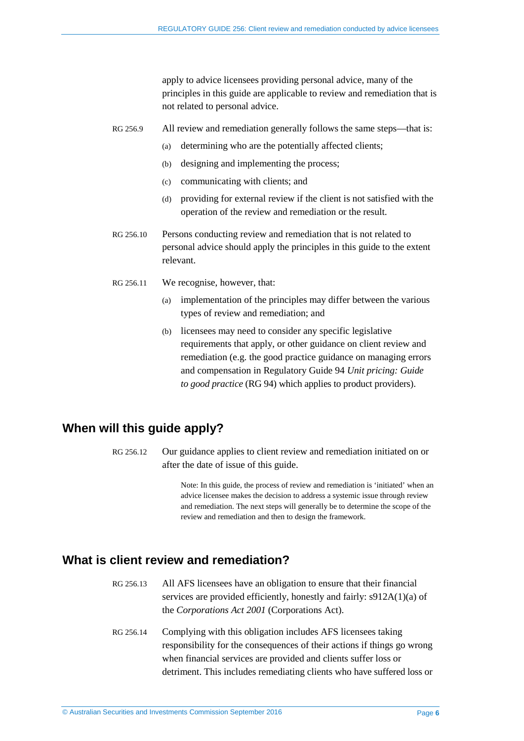apply to advice licensees providing personal advice, many of the principles in this guide are applicable to review and remediation that is not related to personal advice.

- RG 256.9 All review and remediation generally follows the same steps—that is:
	- (a) determining who are the potentially affected clients;
	- (b) designing and implementing the process;
	- (c) communicating with clients; and
	- (d) providing for external review if the client is not satisfied with the operation of the review and remediation or the result.
- RG 256.10 Persons conducting review and remediation that is not related to personal advice should apply the principles in this guide to the extent relevant.
- <span id="page-5-3"></span>RG 256.11 We recognise, however, that:
	- (a) implementation of the principles may differ between the various types of review and remediation; and
	- (b) licensees may need to consider any specific legislative requirements that apply, or other guidance on client review and remediation (e.g. the good practice guidance on managing errors and compensation in Regulatory Guide 94 *Unit pricing: Guide to good practice* (RG 94) which applies to product providers).

## <span id="page-5-0"></span>**When will this guide apply?**

RG 256.12 Our guidance applies to client review and remediation initiated on or after the date of issue of this guide.

> Note: In this guide, the process of review and remediation is 'initiated' when an advice licensee makes the decision to address a systemic issue through review and remediation. The next steps will generally be to determine the scope of the review and remediation and then to design the framework.

## <span id="page-5-2"></span><span id="page-5-1"></span>**What is client review and remediation?**

- RG 256.13 All AFS licensees have an obligation to ensure that their financial services are provided efficiently, honestly and fairly: s912A(1)(a) of the *Corporations Act 2001* (Corporations Act).
- RG 256.14 Complying with this obligation includes AFS licensees taking responsibility for the consequences of their actions if things go wrong when financial services are provided and clients suffer loss or detriment. This includes remediating clients who have suffered loss or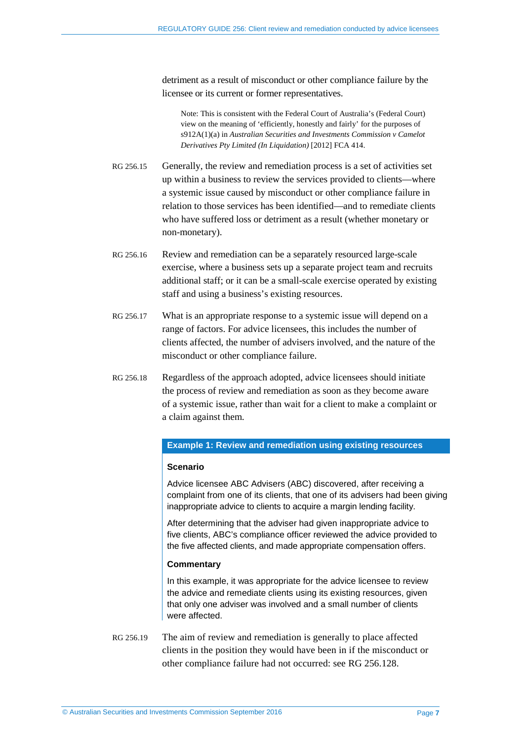detriment as a result of misconduct or other compliance failure by the licensee or its current or former representatives.

Note: This is consistent with the Federal Court of Australia's (Federal Court) view on the meaning of 'efficiently, honestly and fairly' for the purposes of s912A(1)(a) in *Australian Securities and Investments Commission v Camelot Derivatives Pty Limited (In Liquidation)* [2012] FCA 414.

- RG 256.15 Generally, the review and remediation process is a set of activities set up within a business to review the services provided to clients—where a systemic issue caused by misconduct or other compliance failure in relation to those services has been identified—and to remediate clients who have suffered loss or detriment as a result (whether monetary or non-monetary).
- RG 256.16 Review and remediation can be a separately resourced large-scale exercise, where a business sets up a separate project team and recruits additional staff; or it can be a small-scale exercise operated by existing staff and using a business's existing resources.
- RG 256.17 What is an appropriate response to a systemic issue will depend on a range of factors. For advice licensees, this includes the number of clients affected, the number of advisers involved, and the nature of the misconduct or other compliance failure.
- RG 256.18 Regardless of the approach adopted, advice licensees should initiate the process of review and remediation as soon as they become aware of a systemic issue, rather than wait for a client to make a complaint or a claim against them.

#### **Example 1: Review and remediation using existing resources**

#### **Scenario**

Advice licensee ABC Advisers (ABC) discovered, after receiving a complaint from one of its clients, that one of its advisers had been giving inappropriate advice to clients to acquire a margin lending facility.

After determining that the adviser had given inappropriate advice to five clients, ABC's compliance officer reviewed the advice provided to the five affected clients, and made appropriate compensation offers.

#### **Commentary**

In this example, it was appropriate for the advice licensee to review the advice and remediate clients using its existing resources, given that only one adviser was involved and a small number of clients were affected.

RG 256.19 The aim of review and remediation is generally to place affected clients in the position they would have been in if the misconduct or other compliance failure had not occurred: see RG [256.128.](#page-30-0)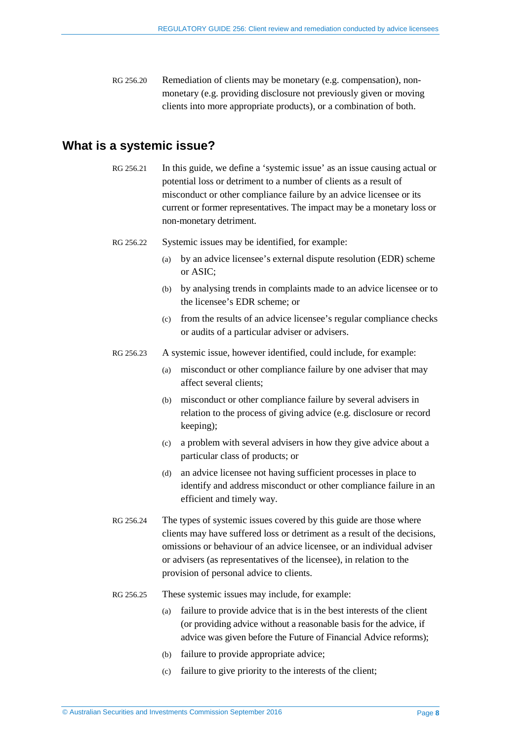<span id="page-7-1"></span>RG 256.20 Remediation of clients may be monetary (e.g. compensation), nonmonetary (e.g. providing disclosure not previously given or moving clients into more appropriate products), or a combination of both.

## <span id="page-7-0"></span>**What is a systemic issue?**

- RG 256.21 In this guide, we define a 'systemic issue' as an issue causing actual or potential loss or detriment to a number of clients as a result of misconduct or other compliance failure by an advice licensee or its current or former representatives. The impact may be a monetary loss or non-monetary detriment.
- RG 256.22 Systemic issues may be identified, for example:
	- (a) by an advice licensee's external dispute resolution (EDR) scheme or ASIC;
	- (b) by analysing trends in complaints made to an advice licensee or to the licensee's EDR scheme; or
	- (c) from the results of an advice licensee's regular compliance checks or audits of a particular adviser or advisers.
- RG 256.23 A systemic issue, however identified, could include, for example:
	- (a) misconduct or other compliance failure by one adviser that may affect several clients;
	- (b) misconduct or other compliance failure by several advisers in relation to the process of giving advice (e.g. disclosure or record keeping);
	- (c) a problem with several advisers in how they give advice about a particular class of products; or
	- (d) an advice licensee not having sufficient processes in place to identify and address misconduct or other compliance failure in an efficient and timely way.
- RG 256.24 The types of systemic issues covered by this guide are those where clients may have suffered loss or detriment as a result of the decisions, omissions or behaviour of an advice licensee, or an individual adviser or advisers (as representatives of the licensee), in relation to the provision of personal advice to clients.
- RG 256.25 These systemic issues may include, for example:
	- (a) failure to provide advice that is in the best interests of the client (or providing advice without a reasonable basis for the advice, if advice was given before the Future of Financial Advice reforms);
	- (b) failure to provide appropriate advice;
	- (c) failure to give priority to the interests of the client;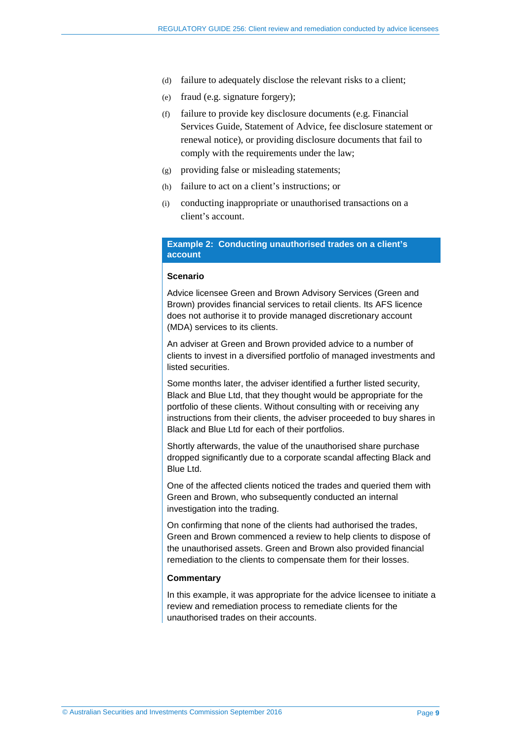- (d) failure to adequately disclose the relevant risks to a client;
- (e) fraud (e.g. signature forgery);
- (f) failure to provide key disclosure documents (e.g. Financial Services Guide, Statement of Advice, fee disclosure statement or renewal notice), or providing disclosure documents that fail to comply with the requirements under the law;
- (g) providing false or misleading statements;
- (h) failure to act on a client's instructions; or
- (i) conducting inappropriate or unauthorised transactions on a client's account.

#### **Example 2: Conducting unauthorised trades on a client's account**

#### **Scenario**

Advice licensee Green and Brown Advisory Services (Green and Brown) provides financial services to retail clients. Its AFS licence does not authorise it to provide managed discretionary account (MDA) services to its clients.

An adviser at Green and Brown provided advice to a number of clients to invest in a diversified portfolio of managed investments and listed securities.

Some months later, the adviser identified a further listed security, Black and Blue Ltd, that they thought would be appropriate for the portfolio of these clients. Without consulting with or receiving any instructions from their clients, the adviser proceeded to buy shares in Black and Blue Ltd for each of their portfolios.

Shortly afterwards, the value of the unauthorised share purchase dropped significantly due to a corporate scandal affecting Black and Blue Ltd.

One of the affected clients noticed the trades and queried them with Green and Brown, who subsequently conducted an internal investigation into the trading.

On confirming that none of the clients had authorised the trades, Green and Brown commenced a review to help clients to dispose of the unauthorised assets. Green and Brown also provided financial remediation to the clients to compensate them for their losses.

#### **Commentary**

In this example, it was appropriate for the advice licensee to initiate a review and remediation process to remediate clients for the unauthorised trades on their accounts.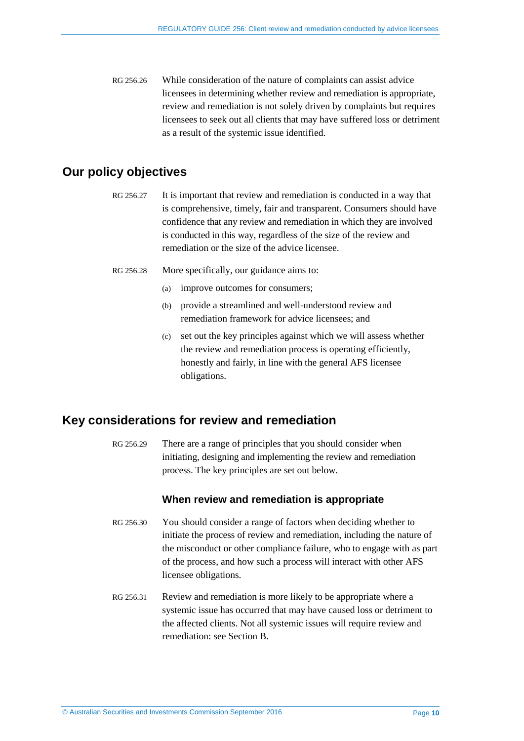RG 256.26 While consideration of the nature of complaints can assist advice licensees in determining whether review and remediation is appropriate, review and remediation is not solely driven by complaints but requires licensees to seek out all clients that may have suffered loss or detriment as a result of the systemic issue identified.

## <span id="page-9-0"></span>**Our policy objectives**

- RG 256.27 It is important that review and remediation is conducted in a way that is comprehensive, timely, fair and transparent. Consumers should have confidence that any review and remediation in which they are involved is conducted in this way, regardless of the size of the review and remediation or the size of the advice licensee.
- RG 256.28 More specifically, our guidance aims to:
	- (a) improve outcomes for consumers;
	- (b) provide a streamlined and well-understood review and remediation framework for advice licensees; and
	- (c) set out the key principles against which we will assess whether the review and remediation process is operating efficiently, honestly and fairly, in line with the general AFS licensee obligations.

## <span id="page-9-1"></span>**Key considerations for review and remediation**

RG 256.29 There are a range of principles that you should consider when initiating, designing and implementing the review and remediation process. The key principles are set out below.

#### **When review and remediation is appropriate**

- RG 256.30 You should consider a range of factors when deciding whether to initiate the process of review and remediation, including the nature of the misconduct or other compliance failure, who to engage with as part of the process, and how such a process will interact with other AFS licensee obligations.
- RG 256.31 Review and remediation is more likely to be appropriate where a systemic issue has occurred that may have caused loss or detriment to the affected clients. Not all systemic issues will require review and remediation: see Section [B.](#page-12-0)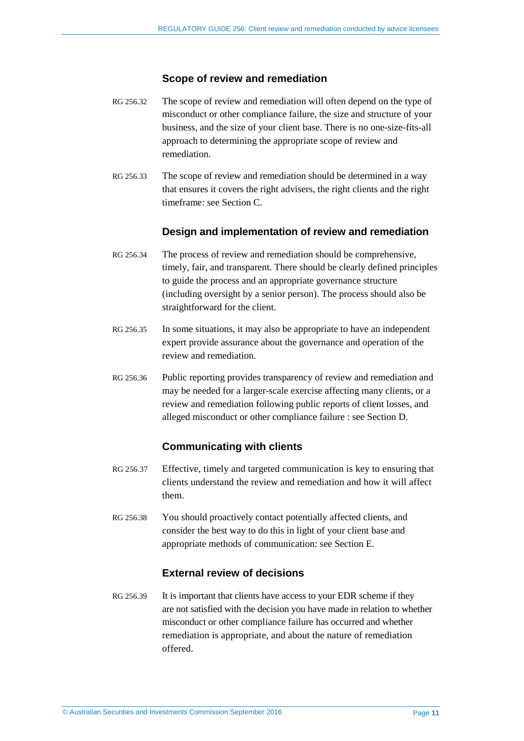#### **Scope of review and remediation**

- RG 256.32 The scope of review and remediation will often depend on the type of misconduct or other compliance failure, the size and structure of your business, and the size of your client base. There is no one-size-fits-all approach to determining the appropriate scope of review and remediation.
- RG 256.33 The scope of review and remediation should be determined in a way that ensures it covers the right advisers, the right clients and the right timeframe: see Section [C.](#page-18-0)

### **Design and implementation of review and remediation**

- RG 256.34 The process of review and remediation should be comprehensive, timely, fair, and transparent. There should be clearly defined principles to guide the process and an appropriate governance structure (including oversight by a senior person). The process should also be straightforward for the client.
- RG 256.35 In some situations, it may also be appropriate to have an independent expert provide assurance about the governance and operation of the review and remediation.
- RG 256.36 Public reporting provides transparency of review and remediation and may be needed for a larger-scale exercise affecting many clients, or a review and remediation following public reports of client losses, and alleged misconduct or other compliance failure : see Section [D.](#page-24-0)

## **Communicating with clients**

- RG 256.37 Effective, timely and targeted communication is key to ensuring that clients understand the review and remediation and how it will affect them.
- RG 256.38 You should proactively contact potentially affected clients, and consider the best way to do this in light of your client base and appropriate methods of communication: see Section [E.](#page-41-0)

## **External review of decisions**

RG 256.39 It is important that clients have access to your EDR scheme if they are not satisfied with the decision you have made in relation to whether misconduct or other compliance failure has occurred and whether remediation is appropriate, and about the nature of remediation offered.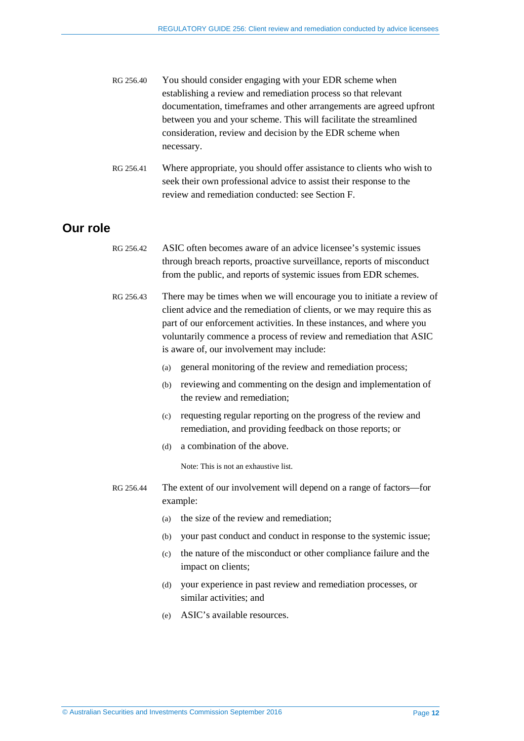| RG 256.40 | You should consider engaging with your EDR scheme when              |
|-----------|---------------------------------------------------------------------|
|           | establishing a review and remediation process so that relevant      |
|           | documentation, timeframes and other arrangements are agreed upfront |
|           | between you and your scheme. This will facilitate the streamlined   |
|           | consideration, review and decision by the EDR scheme when           |
|           | necessary.                                                          |

RG 256.41 Where appropriate, you should offer assistance to clients who wish to seek their own professional advice to assist their response to the review and remediation conducted: see Section [F.](#page-46-0)

## <span id="page-11-1"></span><span id="page-11-0"></span>**Our role**

- RG 256.42 ASIC often becomes aware of an advice licensee's systemic issues through breach reports, proactive surveillance, reports of misconduct from the public, and reports of systemic issues from EDR schemes.
- RG 256.43 There may be times when we will encourage you to initiate a review of client advice and the remediation of clients, or we may require this as part of our enforcement activities. In these instances, and where you voluntarily commence a process of review and remediation that ASIC is aware of, our involvement may include:
	- (a) general monitoring of the review and remediation process;
	- (b) reviewing and commenting on the design and implementation of the review and remediation;
	- (c) requesting regular reporting on the progress of the review and remediation, and providing feedback on those reports; or
	- (d) a combination of the above.

Note: This is not an exhaustive list.

- <span id="page-11-2"></span>RG 256.44 The extent of our involvement will depend on a range of factors—for example:
	- (a) the size of the review and remediation;
	- (b) your past conduct and conduct in response to the systemic issue;
	- (c) the nature of the misconduct or other compliance failure and the impact on clients;
	- (d) your experience in past review and remediation processes, or similar activities; and
	- (e) ASIC's available resources.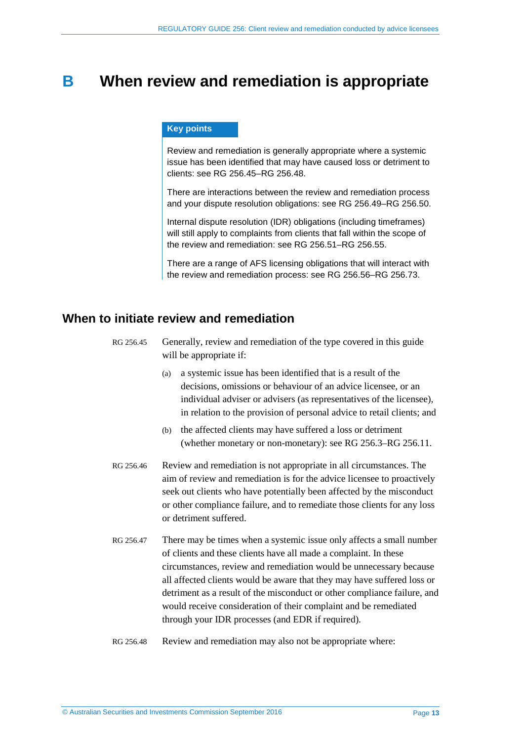## <span id="page-12-0"></span>**B When review and remediation is appropriate**

#### **Key points**

Review and remediation is generally appropriate where a systemic issue has been identified that may have caused loss or detriment to clients: see RG [256.45–](#page-12-2)RG [256.48.](#page-12-3)

There are interactions between the review and remediation process and your dispute resolution obligations: see RG [256.49–](#page-13-1)RG [256.50.](#page-13-2)

Internal dispute resolution (IDR) obligations (including timeframes) will still apply to complaints from clients that fall within the scope of the review and remediation: see RG [256.51–](#page-13-3)RG [256.55.](#page-14-1)

There are a range of AFS licensing obligations that will interact with the review and remediation process: see RG [256.56–](#page-14-2)RG [256.73.](#page-17-0)

## <span id="page-12-2"></span><span id="page-12-1"></span>**When to initiate review and remediation**

- RG 256.45 Generally, review and remediation of the type covered in this guide will be appropriate if:
	- (a) a systemic issue has been identified that is a result of the decisions, omissions or behaviour of an advice licensee, or an individual adviser or advisers (as representatives of the licensee), in relation to the provision of personal advice to retail clients; and
	- (b) the affected clients may have suffered a loss or detriment (whether monetary or non-monetary): see [RG 256.3–](#page-4-4)[RG 256.11.](#page-5-3)
- RG 256.46 Review and remediation is not appropriate in all circumstances. The aim of review and remediation is for the advice licensee to proactively seek out clients who have potentially been affected by the misconduct or other compliance failure, and to remediate those clients for any loss or detriment suffered.
- RG 256.47 There may be times when a systemic issue only affects a small number of clients and these clients have all made a complaint. In these circumstances, review and remediation would be unnecessary because all affected clients would be aware that they may have suffered loss or detriment as a result of the misconduct or other compliance failure, and would receive consideration of their complaint and be remediated through your IDR processes (and EDR if required).
- <span id="page-12-3"></span>RG 256.48 Review and remediation may also not be appropriate where: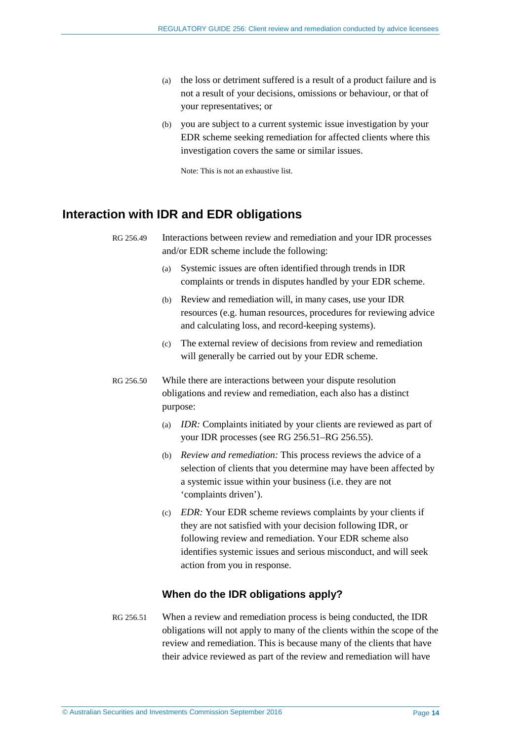- (a) the loss or detriment suffered is a result of a product failure and is not a result of your decisions, omissions or behaviour, or that of your representatives; or
- (b) you are subject to a current systemic issue investigation by your EDR scheme seeking remediation for affected clients where this investigation covers the same or similar issues.

Note: This is not an exhaustive list.

## <span id="page-13-1"></span><span id="page-13-0"></span>**Interaction with IDR and EDR obligations**

```
RG 256.49 Interactions between review and remediation and your IDR processes 
and/or EDR scheme include the following:
```
- (a) Systemic issues are often identified through trends in IDR complaints or trends in disputes handled by your EDR scheme.
- (b) Review and remediation will, in many cases, use your IDR resources (e.g. human resources, procedures for reviewing advice and calculating loss, and record-keeping systems).
- (c) The external review of decisions from review and remediation will generally be carried out by your EDR scheme.
- <span id="page-13-2"></span>RG 256.50 While there are interactions between your dispute resolution obligations and review and remediation, each also has a distinct purpose:
	- (a) *IDR:* Complaints initiated by your clients are reviewed as part of your IDR processes (see [RG 256.51](#page-13-3)[–RG 256.55\)](#page-14-1).
	- (b) *Review and remediation:* This process reviews the advice of a selection of clients that you determine may have been affected by a systemic issue within your business (i.e. they are not 'complaints driven').
	- (c) *EDR:* Your EDR scheme reviews complaints by your clients if they are not satisfied with your decision following IDR, or following review and remediation. Your EDR scheme also identifies systemic issues and serious misconduct, and will seek action from you in response.

## **When do the IDR obligations apply?**

<span id="page-13-3"></span>RG 256.51 When a review and remediation process is being conducted, the IDR obligations will not apply to many of the clients within the scope of the review and remediation. This is because many of the clients that have their advice reviewed as part of the review and remediation will have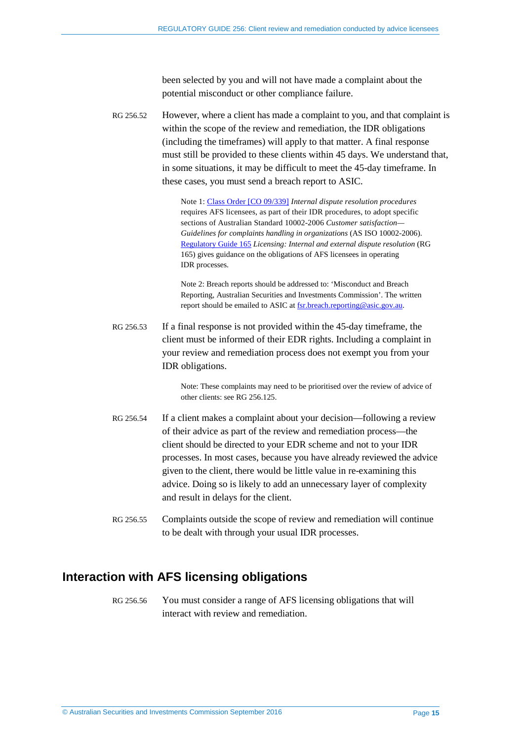been selected by you and will not have made a complaint about the potential misconduct or other compliance failure.

RG 256.52 However, where a client has made a complaint to you, and that complaint is within the scope of the review and remediation, the IDR obligations (including the timeframes) will apply to that matter. A final response must still be provided to these clients within 45 days. We understand that, in some situations, it may be difficult to meet the 45-day timeframe. In these cases, you must send a breach report to ASIC.

> Note 1[: Class Order \[CO 09/339\]](https://www.legislation.gov.au/Details/F2009L01831) *Internal dispute resolution procedures* requires AFS licensees, as part of their IDR procedures, to adopt specific sections of Australian Standard 10002-2006 *Customer satisfaction— Guidelines for complaints handling in organizations* (AS ISO 10002-2006). [Regulatory Guide 165](http://www.asic.gov.au/regulatory-resources/find-a-document/regulatory-guides/rg-165-licensing-internal-and-external-dispute-resolution/) *Licensing: Internal and external dispute resolution* (RG 165) gives guidance on the obligations of AFS licensees in operating IDR processes.

Note 2: Breach reports should be addressed to: 'Misconduct and Breach Reporting, Australian Securities and Investments Commission'. The written report should be emailed to ASIC at fsr.breach.reporting@asic.gov.au.

RG 256.53 If a final response is not provided within the 45-day timeframe, the client must be informed of their EDR rights. Including a complaint in your review and remediation process does not exempt you from your IDR obligations.

> Note: These complaints may need to be prioritised over the review of advice of other clients: se[e RG 256.125.](#page-30-1)

- RG 256.54 If a client makes a complaint about your decision—following a review of their advice as part of the review and remediation process—the client should be directed to your EDR scheme and not to your IDR processes. In most cases, because you have already reviewed the advice given to the client, there would be little value in re-examining this advice. Doing so is likely to add an unnecessary layer of complexity and result in delays for the client.
- <span id="page-14-1"></span>RG 256.55 Complaints outside the scope of review and remediation will continue to be dealt with through your usual IDR processes.

## <span id="page-14-2"></span><span id="page-14-0"></span>**Interaction with AFS licensing obligations**

RG 256.56 You must consider a range of AFS licensing obligations that will interact with review and remediation.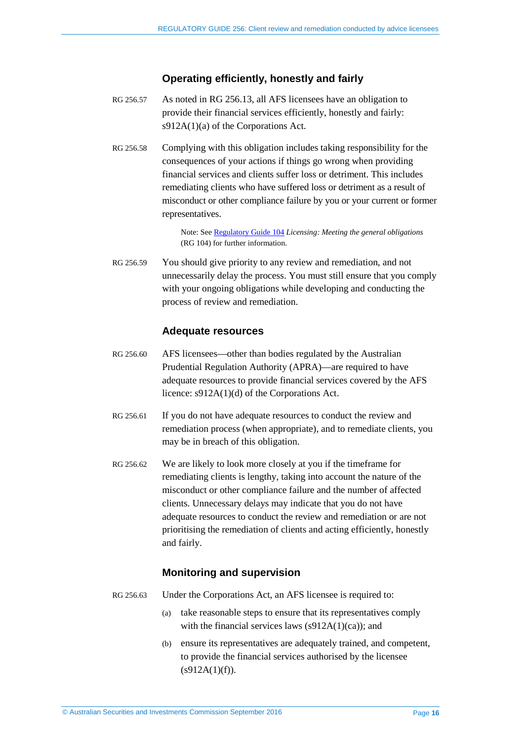### **Operating efficiently, honestly and fairly**

- RG 256.57 As noted in [RG 256.13,](#page-5-2) all AFS licensees have an obligation to provide their financial services efficiently, honestly and fairly: s912A(1)(a) of the Corporations Act.
- RG 256.58 Complying with this obligation includes taking responsibility for the consequences of your actions if things go wrong when providing financial services and clients suffer loss or detriment. This includes remediating clients who have suffered loss or detriment as a result of misconduct or other compliance failure by you or your current or former representatives.

Note: See [Regulatory Guide 104](http://asic.gov.au/regulatory-resources/find-a-document/regulatory-guides/rg-104-licensing-meeting-the-general-obligations/) *Licensing: Meeting the general obligations*  (RG 104) for further information.

RG 256.59 You should give priority to any review and remediation, and not unnecessarily delay the process. You must still ensure that you comply with your ongoing obligations while developing and conducting the process of review and remediation.

#### **Adequate resources**

- <span id="page-15-0"></span>RG 256.60 AFS licensees—other than bodies regulated by the Australian Prudential Regulation Authority (APRA)—are required to have adequate resources to provide financial services covered by the AFS licence: s912A(1)(d) of the Corporations Act.
- RG 256.61 If you do not have adequate resources to conduct the review and remediation process (when appropriate), and to remediate clients, you may be in breach of this obligation.
- <span id="page-15-1"></span>RG 256.62 We are likely to look more closely at you if the timeframe for remediating clients is lengthy, taking into account the nature of the misconduct or other compliance failure and the number of affected clients. Unnecessary delays may indicate that you do not have adequate resources to conduct the review and remediation or are not prioritising the remediation of clients and acting efficiently, honestly and fairly.

#### **Monitoring and supervision**

- RG 256.63 Under the Corporations Act, an AFS licensee is required to:
	- (a) take reasonable steps to ensure that its representatives comply with the financial services laws  $(s912A(1)(ca))$ ; and
	- (b) ensure its representatives are adequately trained, and competent, to provide the financial services authorised by the licensee  $(s912A(1)(f)).$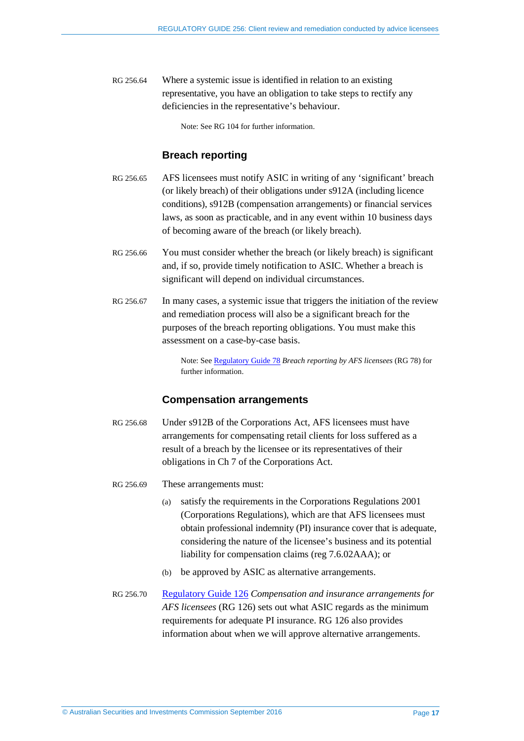RG 256.64 Where a systemic issue is identified in relation to an existing representative, you have an obligation to take steps to rectify any deficiencies in the representative's behaviour.

Note: See RG 104 for further information.

### **Breach reporting**

- RG 256.65 AFS licensees must notify ASIC in writing of any 'significant' breach (or likely breach) of their obligations under s912A (including licence conditions), s912B (compensation arrangements) or financial services laws, as soon as practicable, and in any event within 10 business days of becoming aware of the breach (or likely breach).
- RG 256.66 You must consider whether the breach (or likely breach) is significant and, if so, provide timely notification to ASIC. Whether a breach is significant will depend on individual circumstances.
- RG 256.67 In many cases, a systemic issue that triggers the initiation of the review and remediation process will also be a significant breach for the purposes of the breach reporting obligations. You must make this assessment on a case-by-case basis.

Note: See [Regulatory Guide 78](http://asic.gov.au/regulatory-resources/find-a-document/regulatory-guides/rg-78-breach-reporting-by-afs-licensees/) *Breach reporting by AFS licensees* (RG 78) for further information.

#### **Compensation arrangements**

- RG 256.68 Under s912B of the Corporations Act, AFS licensees must have arrangements for compensating retail clients for loss suffered as a result of a breach by the licensee or its representatives of their obligations in Ch 7 of the Corporations Act.
- RG 256.69 These arrangements must:
	- (a) satisfy the requirements in the Corporations Regulations 2001 (Corporations Regulations), which are that AFS licensees must obtain professional indemnity (PI) insurance cover that is adequate, considering the nature of the licensee's business and its potential liability for compensation claims (reg 7.6.02AAA); or
	- (b) be approved by ASIC as alternative arrangements.
- RG 256.70 [Regulatory Guide 126](http://asic.gov.au/regulatory-resources/find-a-document/regulatory-guides/rg-126-compensation-and-insurance-arrangements-for-afs-licensees/) *Compensation and insurance arrangements for AFS licensees* (RG 126) sets out what ASIC regards as the minimum requirements for adequate PI insurance. RG 126 also provides information about when we will approve alternative arrangements.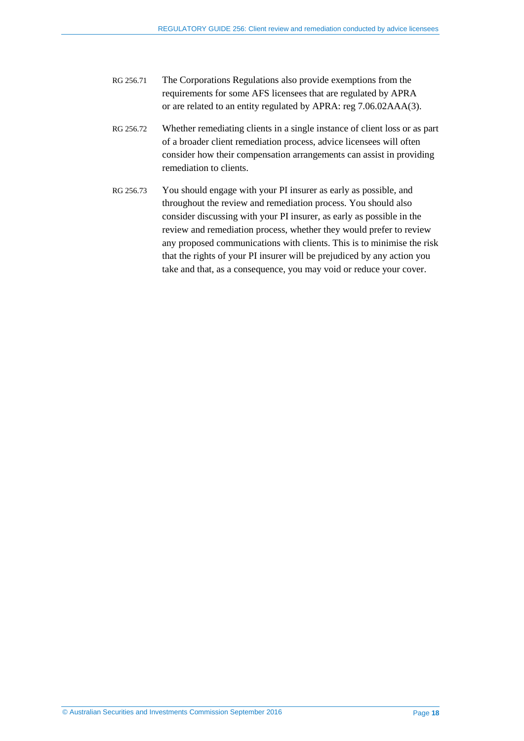- RG 256.71 The Corporations Regulations also provide exemptions from the requirements for some AFS licensees that are regulated by APRA or are related to an entity regulated by APRA: reg 7.06.02AAA(3).
- RG 256.72 Whether remediating clients in a single instance of client loss or as part of a broader client remediation process, advice licensees will often consider how their compensation arrangements can assist in providing remediation to clients.
- <span id="page-17-0"></span>RG 256.73 You should engage with your PI insurer as early as possible, and throughout the review and remediation process. You should also consider discussing with your PI insurer, as early as possible in the review and remediation process, whether they would prefer to review any proposed communications with clients. This is to minimise the risk that the rights of your PI insurer will be prejudiced by any action you take and that, as a consequence, you may void or reduce your cover.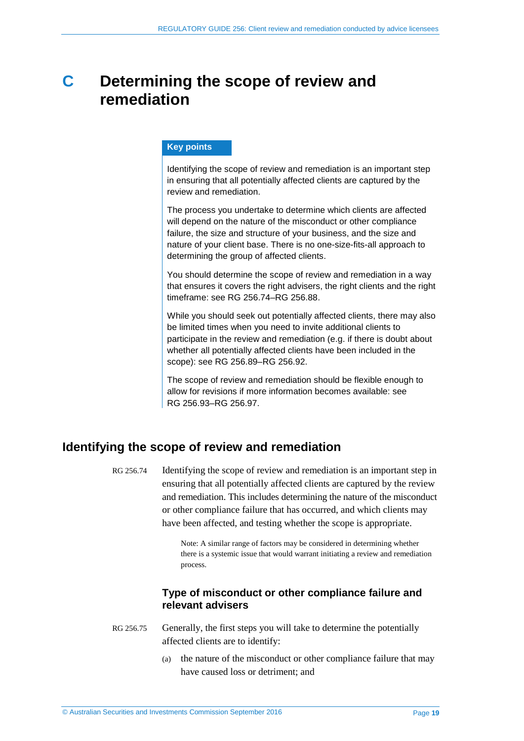## <span id="page-18-0"></span>**C Determining the scope of review and remediation**

#### **Key points**

Identifying the scope of review and remediation is an important step in ensuring that all potentially affected clients are captured by the review and remediation.

The process you undertake to determine which clients are affected will depend on the nature of the misconduct or other compliance failure, the size and structure of your business, and the size and nature of your client base. There is no one-size-fits-all approach to determining the group of affected clients.

You should determine the scope of review and remediation in a way that ensures it covers the right advisers, the right clients and the right timeframe: see RG [256.74–](#page-18-2)RG [256.88.](#page-21-1)

While you should seek out potentially affected clients, there may also be limited times when you need to invite additional clients to participate in the review and remediation (e.g. if there is doubt about whether all potentially affected clients have been included in the scope): see RG [256.89–](#page-21-2)RG [256.92.](#page-21-3)

The scope of review and remediation should be flexible enough to allow for revisions if more information becomes available: see RG [256.93–](#page-22-1)RG [256.97.](#page-23-0)

## <span id="page-18-2"></span><span id="page-18-1"></span>**Identifying the scope of review and remediation**

RG 256.74 Identifying the scope of review and remediation is an important step in ensuring that all potentially affected clients are captured by the review and remediation. This includes determining the nature of the misconduct or other compliance failure that has occurred, and which clients may have been affected, and testing whether the scope is appropriate.

> Note: A similar range of factors may be considered in determining whether there is a systemic issue that would warrant initiating a review and remediation process.

## **Type of misconduct or other compliance failure and relevant advisers**

- RG 256.75 Generally, the first steps you will take to determine the potentially affected clients are to identify:
	- (a) the nature of the misconduct or other compliance failure that may have caused loss or detriment; and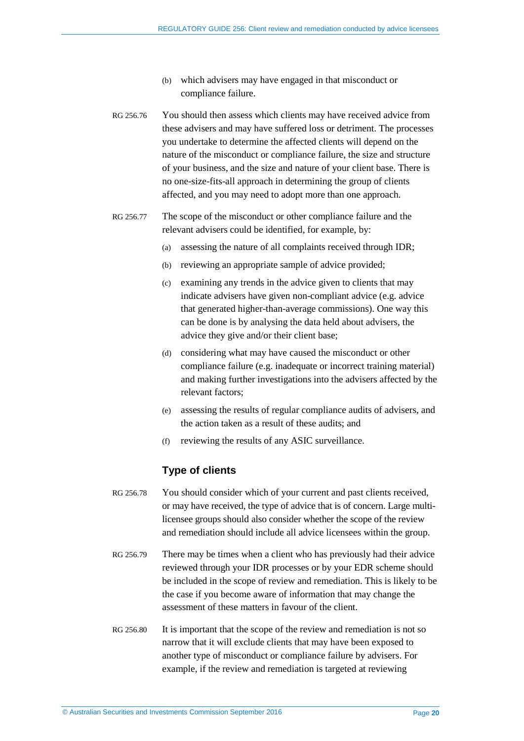- (b) which advisers may have engaged in that misconduct or compliance failure.
- RG 256.76 You should then assess which clients may have received advice from these advisers and may have suffered loss or detriment. The processes you undertake to determine the affected clients will depend on the nature of the misconduct or compliance failure, the size and structure of your business, and the size and nature of your client base. There is no one-size-fits-all approach in determining the group of clients affected, and you may need to adopt more than one approach.
- RG 256.77 The scope of the misconduct or other compliance failure and the relevant advisers could be identified, for example, by:
	- (a) assessing the nature of all complaints received through IDR;
	- (b) reviewing an appropriate sample of advice provided;
	- (c) examining any trends in the advice given to clients that may indicate advisers have given non-compliant advice (e.g. advice that generated higher-than-average commissions). One way this can be done is by analysing the data held about advisers, the advice they give and/or their client base;
	- (d) considering what may have caused the misconduct or other compliance failure (e.g. inadequate or incorrect training material) and making further investigations into the advisers affected by the relevant factors;
	- (e) assessing the results of regular compliance audits of advisers, and the action taken as a result of these audits; and
	- (f) reviewing the results of any ASIC surveillance.

#### **Type of clients**

- RG 256.78 You should consider which of your current and past clients received, or may have received, the type of advice that is of concern. Large multilicensee groups should also consider whether the scope of the review and remediation should include all advice licensees within the group.
- RG 256.79 There may be times when a client who has previously had their advice reviewed through your IDR processes or by your EDR scheme should be included in the scope of review and remediation. This is likely to be the case if you become aware of information that may change the assessment of these matters in favour of the client.
- RG 256.80 It is important that the scope of the review and remediation is not so narrow that it will exclude clients that may have been exposed to another type of misconduct or compliance failure by advisers. For example, if the review and remediation is targeted at reviewing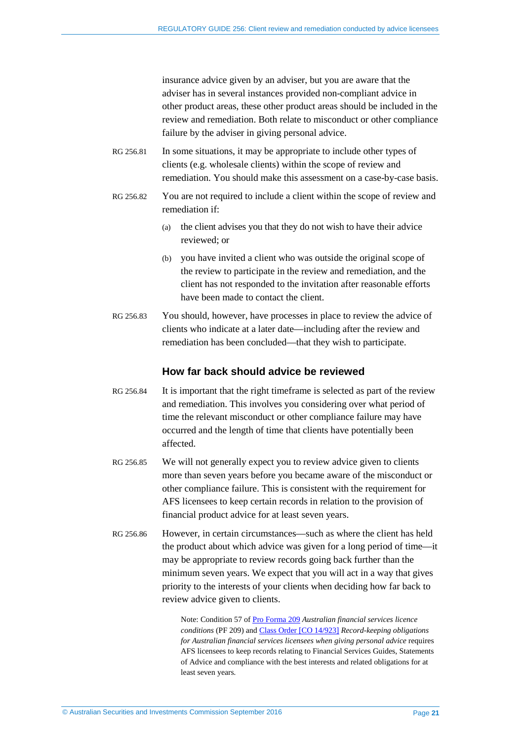insurance advice given by an adviser, but you are aware that the adviser has in several instances provided non-compliant advice in other product areas, these other product areas should be included in the review and remediation. Both relate to misconduct or other compliance failure by the adviser in giving personal advice.

- RG 256.81 In some situations, it may be appropriate to include other types of clients (e.g. wholesale clients) within the scope of review and remediation. You should make this assessment on a case-by-case basis.
- RG 256.82 You are not required to include a client within the scope of review and remediation if:
	- (a) the client advises you that they do not wish to have their advice reviewed; or
	- (b) you have invited a client who was outside the original scope of the review to participate in the review and remediation, and the client has not responded to the invitation after reasonable efforts have been made to contact the client.
- RG 256.83 You should, however, have processes in place to review the advice of clients who indicate at a later date—including after the review and remediation has been concluded—that they wish to participate.

#### **How far back should advice be reviewed**

- RG 256.84 It is important that the right timeframe is selected as part of the review and remediation. This involves you considering over what period of time the relevant misconduct or other compliance failure may have occurred and the length of time that clients have potentially been affected.
- RG 256.85 We will not generally expect you to review advice given to clients more than seven years before you became aware of the misconduct or other compliance failure. This is consistent with the requirement for AFS licensees to keep certain records in relation to the provision of financial product advice for at least seven years.
- RG 256.86 However, in certain circumstances—such as where the client has held the product about which advice was given for a long period of time—it may be appropriate to review records going back further than the minimum seven years. We expect that you will act in a way that gives priority to the interests of your clients when deciding how far back to review advice given to clients.

Note: Condition 57 of [Pro Forma 209](http://asic.gov.au/for-finance-professionals/afs-licensees/applying-for-and-managing-an-afs-licence/australian-financial-services-licence-conditions-pro-forma-209/) *Australian financial services licence conditions* (PF 209) an[d Class Order \[CO 14/923\]](https://www.legislation.gov.au/Details/F2014L01237) *Record-keeping obligations for Australian financial services licensees when giving personal advice* requires AFS licensees to keep records relating to Financial Services Guides, Statements of Advice and compliance with the best interests and related obligations for at least seven years*.*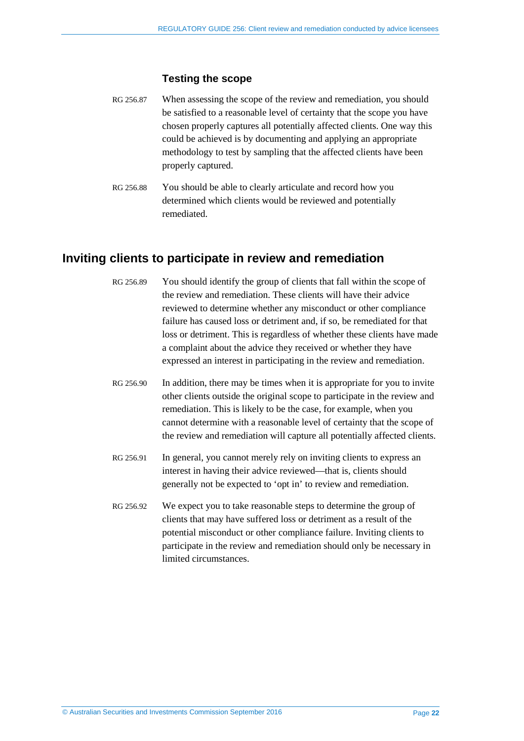#### **Testing the scope**

- RG 256.87 When assessing the scope of the review and remediation, you should be satisfied to a reasonable level of certainty that the scope you have chosen properly captures all potentially affected clients. One way this could be achieved is by documenting and applying an appropriate methodology to test by sampling that the affected clients have been properly captured.
- <span id="page-21-1"></span>RG 256.88 You should be able to clearly articulate and record how you determined which clients would be reviewed and potentially remediated.

## <span id="page-21-2"></span><span id="page-21-0"></span>**Inviting clients to participate in review and remediation**

- RG 256.89 You should identify the group of clients that fall within the scope of the review and remediation. These clients will have their advice reviewed to determine whether any misconduct or other compliance failure has caused loss or detriment and, if so, be remediated for that loss or detriment. This is regardless of whether these clients have made a complaint about the advice they received or whether they have expressed an interest in participating in the review and remediation.
- <span id="page-21-4"></span>RG 256.90 In addition, there may be times when it is appropriate for you to invite other clients outside the original scope to participate in the review and remediation. This is likely to be the case, for example, when you cannot determine with a reasonable level of certainty that the scope of the review and remediation will capture all potentially affected clients.
- RG 256.91 In general, you cannot merely rely on inviting clients to express an interest in having their advice reviewed—that is, clients should generally not be expected to 'opt in' to review and remediation.
- <span id="page-21-3"></span>RG 256.92 We expect you to take reasonable steps to determine the group of clients that may have suffered loss or detriment as a result of the potential misconduct or other compliance failure. Inviting clients to participate in the review and remediation should only be necessary in limited circumstances.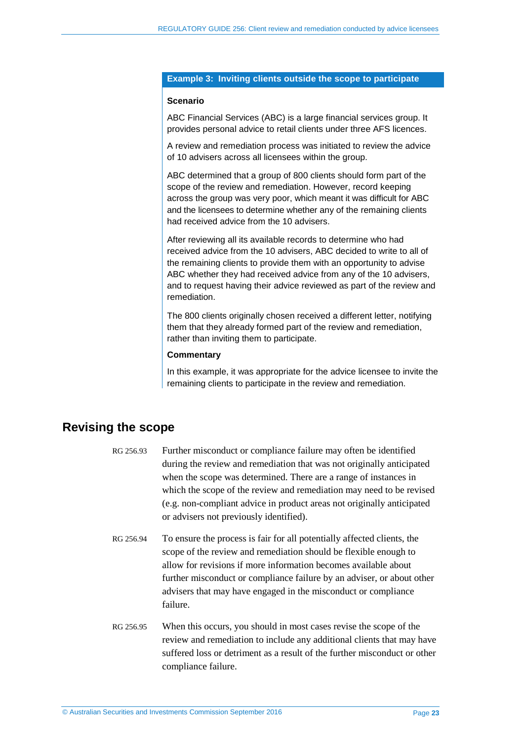#### **Example 3: Inviting clients outside the scope to participate**

#### **Scenario**

ABC Financial Services (ABC) is a large financial services group. It provides personal advice to retail clients under three AFS licences.

A review and remediation process was initiated to review the advice of 10 advisers across all licensees within the group.

ABC determined that a group of 800 clients should form part of the scope of the review and remediation. However, record keeping across the group was very poor, which meant it was difficult for ABC and the licensees to determine whether any of the remaining clients had received advice from the 10 advisers.

After reviewing all its available records to determine who had received advice from the 10 advisers, ABC decided to write to all of the remaining clients to provide them with an opportunity to advise ABC whether they had received advice from any of the 10 advisers, and to request having their advice reviewed as part of the review and remediation.

The 800 clients originally chosen received a different letter, notifying them that they already formed part of the review and remediation, rather than inviting them to participate.

#### **Commentary**

In this example, it was appropriate for the advice licensee to invite the remaining clients to participate in the review and remediation.

## <span id="page-22-1"></span><span id="page-22-0"></span>**Revising the scope**

- RG 256.93 Further misconduct or compliance failure may often be identified during the review and remediation that was not originally anticipated when the scope was determined. There are a range of instances in which the scope of the review and remediation may need to be revised (e.g. non-compliant advice in product areas not originally anticipated or advisers not previously identified).
- RG 256.94 To ensure the process is fair for all potentially affected clients, the scope of the review and remediation should be flexible enough to allow for revisions if more information becomes available about further misconduct or compliance failure by an adviser, or about other advisers that may have engaged in the misconduct or compliance failure.
- RG 256.95 When this occurs, you should in most cases revise the scope of the review and remediation to include any additional clients that may have suffered loss or detriment as a result of the further misconduct or other compliance failure.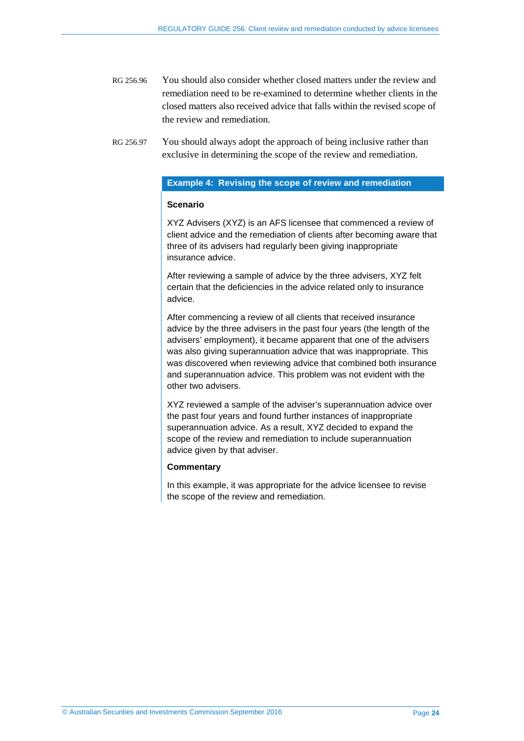RG 256.96 You should also consider whether closed matters under the review and remediation need to be re-examined to determine whether clients in the closed matters also received advice that falls within the revised scope of the review and remediation.

#### **Example 4: Revising the scope of review and remediation**

#### **Scenario**

XYZ Advisers (XYZ) is an AFS licensee that commenced a review of client advice and the remediation of clients after becoming aware that three of its advisers had regularly been giving inappropriate insurance advice.

After reviewing a sample of advice by the three advisers, XYZ felt certain that the deficiencies in the advice related only to insurance advice.

After commencing a review of all clients that received insurance advice by the three advisers in the past four years (the length of the advisers' employment), it became apparent that one of the advisers was also giving superannuation advice that was inappropriate. This was discovered when reviewing advice that combined both insurance and superannuation advice. This problem was not evident with the other two advisers.

XYZ reviewed a sample of the adviser's superannuation advice over the past four years and found further instances of inappropriate superannuation advice. As a result, XYZ decided to expand the scope of the review and remediation to include superannuation advice given by that adviser.

#### **Commentary**

In this example, it was appropriate for the advice licensee to revise the scope of the review and remediation.

<span id="page-23-0"></span>RG 256.97 You should always adopt the approach of being inclusive rather than exclusive in determining the scope of the review and remediation.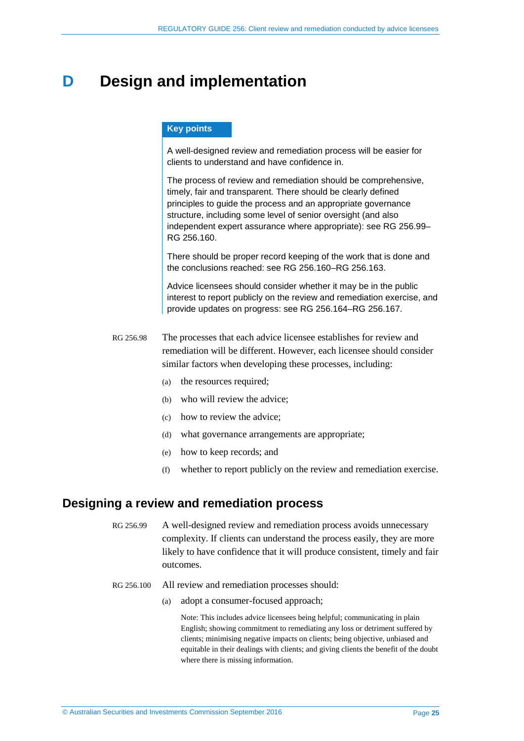## <span id="page-24-0"></span>**D** Design and implementation

#### **Key points**

A well-designed review and remediation process will be easier for clients to understand and have confidence in.

The process of review and remediation should be comprehensive, timely, fair and transparent. There should be clearly defined principles to guide the process and an appropriate governance structure, including some level of senior oversight (and also independent expert assurance where appropriate): see RG [256.99–](#page-24-2) RG [256.160.](#page-38-0)

There should be proper record keeping of the work that is done and the conclusions reached: see RG [256.160–](#page-38-0)RG [256.163.](#page-39-0)

Advice licensees should consider whether it may be in the public interest to report publicly on the review and remediation exercise, and provide updates on progress: see RG [256.164–](#page-39-1)RG [256.167.](#page-40-0)

RG 256.98 The processes that each advice licensee establishes for review and remediation will be different. However, each licensee should consider similar factors when developing these processes, including:

- (a) the resources required;
- (b) who will review the advice;
- (c) how to review the advice;
- (d) what governance arrangements are appropriate;
- (e) how to keep records; and
- (f) whether to report publicly on the review and remediation exercise.

### <span id="page-24-2"></span><span id="page-24-1"></span>**Designing a review and remediation process**

RG 256.99 A well-designed review and remediation process avoids unnecessary complexity. If clients can understand the process easily, they are more likely to have confidence that it will produce consistent, timely and fair outcomes.

- RG 256.100 All review and remediation processes should:
	- (a) adopt a consumer-focused approach;

Note: This includes advice licensees being helpful; communicating in plain English; showing commitment to remediating any loss or detriment suffered by clients; minimising negative impacts on clients; being objective, unbiased and equitable in their dealings with clients; and giving clients the benefit of the doubt where there is missing information.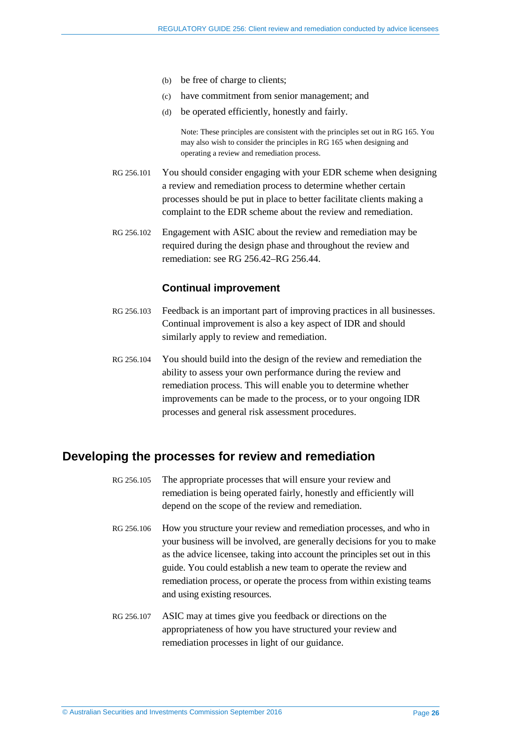- (b) be free of charge to clients;
- (c) have commitment from senior management; and
- (d) be operated efficiently, honestly and fairly.

Note: These principles are consistent with the principles set out in RG 165. You may also wish to consider the principles in RG 165 when designing and operating a review and remediation process.

- RG 256.101 You should consider engaging with your EDR scheme when designing a review and remediation process to determine whether certain processes should be put in place to better facilitate clients making a complaint to the EDR scheme about the review and remediation.
- RG 256.102 Engagement with ASIC about the review and remediation may be required during the design phase and throughout the review and remediation: see [RG 256.42](#page-11-1)[–RG 256.44.](#page-11-2)

#### **Continual improvement**

- RG 256.103 Feedback is an important part of improving practices in all businesses. Continual improvement is also a key aspect of IDR and should similarly apply to review and remediation.
- RG 256.104 You should build into the design of the review and remediation the ability to assess your own performance during the review and remediation process. This will enable you to determine whether improvements can be made to the process, or to your ongoing IDR processes and general risk assessment procedures.

## <span id="page-25-0"></span>**Developing the processes for review and remediation**

- RG 256.105 The appropriate processes that will ensure your review and remediation is being operated fairly, honestly and efficiently will depend on the scope of the review and remediation.
- RG 256.106 How you structure your review and remediation processes, and who in your business will be involved, are generally decisions for you to make as the advice licensee, taking into account the principles set out in this guide. You could establish a new team to operate the review and remediation process, or operate the process from within existing teams and using existing resources.
- RG 256.107 ASIC may at times give you feedback or directions on the appropriateness of how you have structured your review and remediation processes in light of our guidance.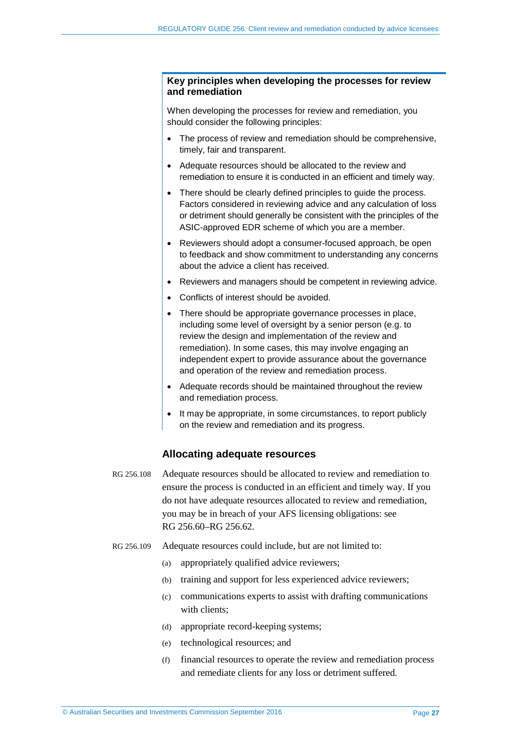#### **Key principles when developing the processes for review and remediation**

When developing the processes for review and remediation, you should consider the following principles:

- The process of review and remediation should be comprehensive, timely, fair and transparent.
- Adequate resources should be allocated to the review and remediation to ensure it is conducted in an efficient and timely way.
- There should be clearly defined principles to guide the process. Factors considered in reviewing advice and any calculation of loss or detriment should generally be consistent with the principles of the ASIC-approved EDR scheme of which you are a member.
- Reviewers should adopt a consumer-focused approach, be open to feedback and show commitment to understanding any concerns about the advice a client has received.
- Reviewers and managers should be competent in reviewing advice.
- Conflicts of interest should be avoided.
- There should be appropriate governance processes in place, including some level of oversight by a senior person (e.g. to review the design and implementation of the review and remediation). In some cases, this may involve engaging an independent expert to provide assurance about the governance and operation of the review and remediation process.
- Adequate records should be maintained throughout the review and remediation process.
- It may be appropriate, in some circumstances, to report publicly on the review and remediation and its progress.

#### **Allocating adequate resources**

- RG 256.108 Adequate resources should be allocated to review and remediation to ensure the process is conducted in an efficient and timely way. If you do not have adequate resources allocated to review and remediation, you may be in breach of your AFS licensing obligations: see [RG 256.60–](#page-15-0)[RG 256.62.](#page-15-1)
- RG 256.109 Adequate resources could include, but are not limited to:
	- (a) appropriately qualified advice reviewers;
	- (b) training and support for less experienced advice reviewers;
	- (c) communications experts to assist with drafting communications with clients;
	- (d) appropriate record-keeping systems;
	- (e) technological resources; and
	- (f) financial resources to operate the review and remediation process and remediate clients for any loss or detriment suffered.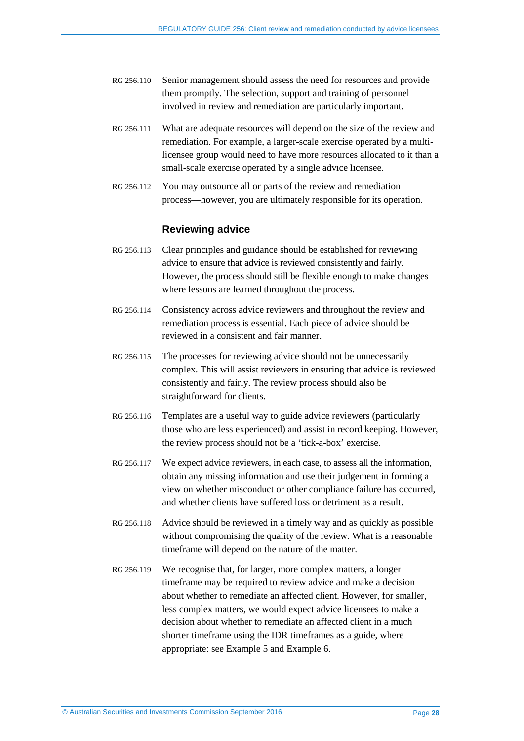- RG 256.110 Senior management should assess the need for resources and provide them promptly. The selection, support and training of personnel involved in review and remediation are particularly important.
- RG 256.111 What are adequate resources will depend on the size of the review and remediation. For example, a larger-scale exercise operated by a multilicensee group would need to have more resources allocated to it than a small-scale exercise operated by a single advice licensee.
- RG 256.112 You may outsource all or parts of the review and remediation process—however, you are ultimately responsible for its operation.

#### **Reviewing advice**

- RG 256.113 Clear principles and guidance should be established for reviewing advice to ensure that advice is reviewed consistently and fairly. However, the process should still be flexible enough to make changes where lessons are learned throughout the process.
- RG 256.114 Consistency across advice reviewers and throughout the review and remediation process is essential. Each piece of advice should be reviewed in a consistent and fair manner.
- RG 256.115 The processes for reviewing advice should not be unnecessarily complex. This will assist reviewers in ensuring that advice is reviewed consistently and fairly. The review process should also be straightforward for clients.
- RG 256.116 Templates are a useful way to guide advice reviewers (particularly those who are less experienced) and assist in record keeping. However, the review process should not be a 'tick-a-box' exercise.
- RG 256.117 We expect advice reviewers, in each case, to assess all the information, obtain any missing information and use their judgement in forming a view on whether misconduct or other compliance failure has occurred, and whether clients have suffered loss or detriment as a result.
- RG 256.118 Advice should be reviewed in a timely way and as quickly as possible without compromising the quality of the review. What is a reasonable timeframe will depend on the nature of the matter.
- RG 256.119 We recognise that, for larger, more complex matters, a longer timeframe may be required to review advice and make a decision about whether to remediate an affected client. However, for smaller, less complex matters, we would expect advice licensees to make a decision about whether to remediate an affected client in a much shorter timeframe using the IDR timeframes as a guide, where appropriate: see [Example 5](#page-28-0) an[d Example 6.](#page-28-1)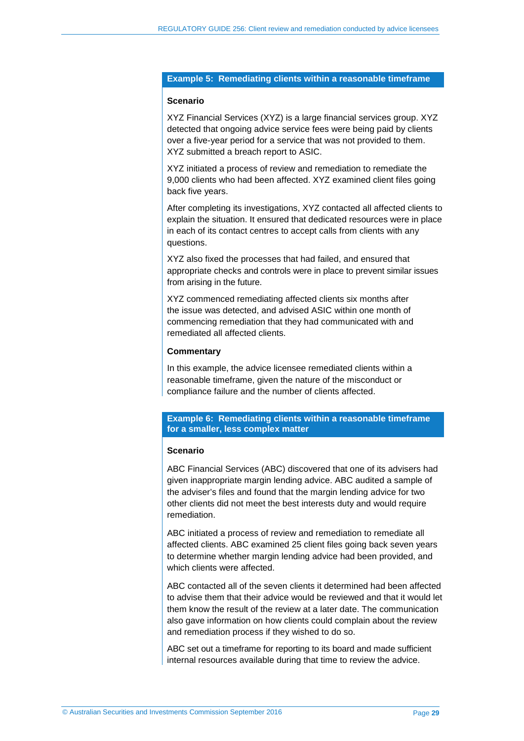#### <span id="page-28-0"></span>**Example 5: Remediating clients within a reasonable timeframe**

#### **Scenario**

XYZ Financial Services (XYZ) is a large financial services group. XYZ detected that ongoing advice service fees were being paid by clients over a five-year period for a service that was not provided to them. XYZ submitted a breach report to ASIC.

XYZ initiated a process of review and remediation to remediate the 9,000 clients who had been affected. XYZ examined client files going back five years.

After completing its investigations, XYZ contacted all affected clients to explain the situation. It ensured that dedicated resources were in place in each of its contact centres to accept calls from clients with any questions.

XYZ also fixed the processes that had failed, and ensured that appropriate checks and controls were in place to prevent similar issues from arising in the future.

XYZ commenced remediating affected clients six months after the issue was detected, and advised ASIC within one month of commencing remediation that they had communicated with and remediated all affected clients.

#### **Commentary**

In this example, the advice licensee remediated clients within a reasonable timeframe, given the nature of the misconduct or compliance failure and the number of clients affected.

#### <span id="page-28-1"></span>**Example 6: Remediating clients within a reasonable timeframe for a smaller, less complex matter**

#### **Scenario**

ABC Financial Services (ABC) discovered that one of its advisers had given inappropriate margin lending advice. ABC audited a sample of the adviser's files and found that the margin lending advice for two other clients did not meet the best interests duty and would require remediation.

ABC initiated a process of review and remediation to remediate all affected clients. ABC examined 25 client files going back seven years to determine whether margin lending advice had been provided, and which clients were affected.

ABC contacted all of the seven clients it determined had been affected to advise them that their advice would be reviewed and that it would let them know the result of the review at a later date. The communication also gave information on how clients could complain about the review and remediation process if they wished to do so.

ABC set out a timeframe for reporting to its board and made sufficient internal resources available during that time to review the advice.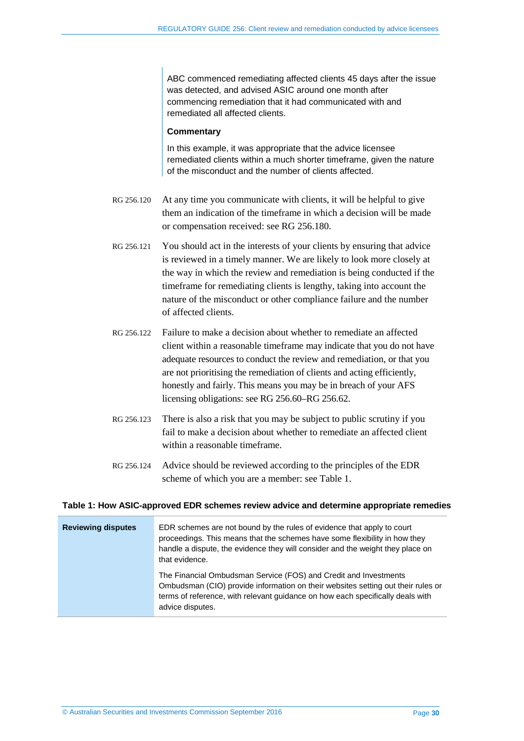ABC commenced remediating affected clients 45 days after the issue was detected, and advised ASIC around one month after commencing remediation that it had communicated with and remediated all affected clients.

#### **Commentary**

In this example, it was appropriate that the advice licensee remediated clients within a much shorter timeframe, given the nature of the misconduct and the number of clients affected.

- RG 256.120 At any time you communicate with clients, it will be helpful to give them an indication of the timeframe in which a decision will be made or compensation received: see [RG 256.180.](#page-43-0)
- RG 256.121 You should act in the interests of your clients by ensuring that advice is reviewed in a timely manner. We are likely to look more closely at the way in which the review and remediation is being conducted if the timeframe for remediating clients is lengthy, taking into account the nature of the misconduct or other compliance failure and the number of affected clients.
- RG 256.122 Failure to make a decision about whether to remediate an affected client within a reasonable timeframe may indicate that you do not have adequate resources to conduct the review and remediation, or that you are not prioritising the remediation of clients and acting efficiently, honestly and fairly. This means you may be in breach of your AFS licensing obligations: see RG [256.60–](#page-15-0)RG [256.62.](#page-15-1)
- RG 256.123 There is also a risk that you may be subject to public scrutiny if you fail to make a decision about whether to remediate an affected client within a reasonable timeframe.
- RG 256.124 Advice should be reviewed according to the principles of the EDR scheme of which you are a member: see [Table 1.](#page-29-0)

#### <span id="page-29-0"></span>**Table 1: How ASIC-approved EDR schemes review advice and determine appropriate remedies**

| <b>Reviewing disputes</b> | EDR schemes are not bound by the rules of evidence that apply to court<br>proceedings. This means that the schemes have some flexibility in how they<br>handle a dispute, the evidence they will consider and the weight they place on<br>that evidence.   |
|---------------------------|------------------------------------------------------------------------------------------------------------------------------------------------------------------------------------------------------------------------------------------------------------|
|                           | The Financial Ombudsman Service (FOS) and Credit and Investments<br>Ombudsman (CIO) provide information on their websites setting out their rules or<br>terms of reference, with relevant guidance on how each specifically deals with<br>advice disputes. |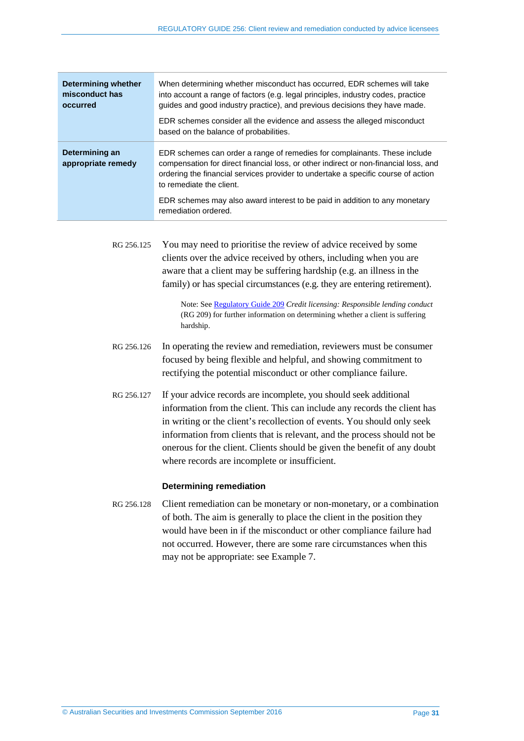| <b>Determining whether</b><br>misconduct has<br>occurred | When determining whether misconduct has occurred, EDR schemes will take<br>into account a range of factors (e.g. legal principles, industry codes, practice<br>quides and good industry practice), and previous decisions they have made.<br>EDR schemes consider all the evidence and assess the alleged misconduct<br>based on the balance of probabilities.                           |
|----------------------------------------------------------|------------------------------------------------------------------------------------------------------------------------------------------------------------------------------------------------------------------------------------------------------------------------------------------------------------------------------------------------------------------------------------------|
| Determining an<br>appropriate remedy                     | EDR schemes can order a range of remedies for complainants. These include<br>compensation for direct financial loss, or other indirect or non-financial loss, and<br>ordering the financial services provider to undertake a specific course of action<br>to remediate the client.<br>EDR schemes may also award interest to be paid in addition to any monetary<br>remediation ordered. |

<span id="page-30-1"></span>RG 256.125 You may need to prioritise the review of advice received by some clients over the advice received by others, including when you are aware that a client may be suffering hardship (e.g. an illness in the family) or has special circumstances (e.g. they are entering retirement).

> Note: See [Regulatory Guide 209](http://asic.gov.au/regulatory-resources/find-a-document/regulatory-guides/rg-209-credit-licensing-responsible-lending-conduct/) *Credit licensing: Responsible lending conduct*  (RG 209) for further information on determining whether a client is suffering hardship.

- RG 256.126 In operating the review and remediation, reviewers must be consumer focused by being flexible and helpful, and showing commitment to rectifying the potential misconduct or other compliance failure.
- RG 256.127 If your advice records are incomplete, you should seek additional information from the client. This can include any records the client has in writing or the client's recollection of events. You should only seek information from clients that is relevant, and the process should not be onerous for the client. Clients should be given the benefit of any doubt where records are incomplete or insufficient.

#### **Determining remediation**

<span id="page-30-0"></span>RG 256.128 Client remediation can be monetary or non-monetary, or a combination of both. The aim is generally to place the client in the position they would have been in if the misconduct or other compliance failure had not occurred. However, there are some rare circumstances when this may not be appropriate: see [Example 7.](#page-31-0)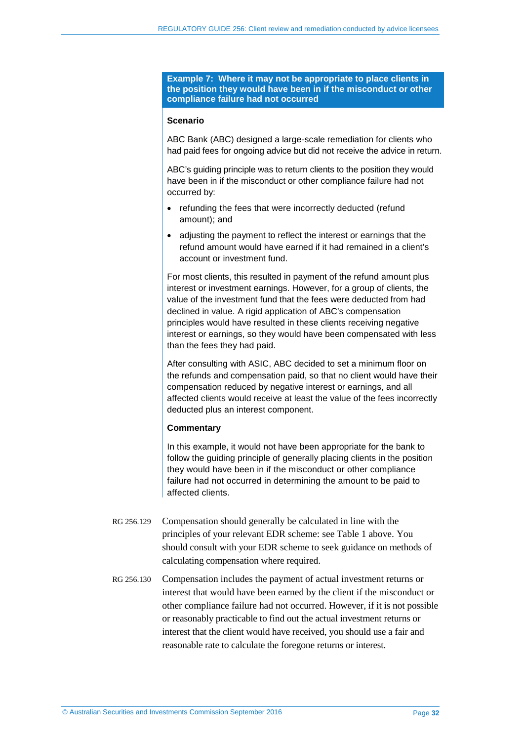<span id="page-31-0"></span>**Example 7: Where it may not be appropriate to place clients in the position they would have been in if the misconduct or other compliance failure had not occurred**

#### **Scenario**

ABC Bank (ABC) designed a large-scale remediation for clients who had paid fees for ongoing advice but did not receive the advice in return.

ABC's guiding principle was to return clients to the position they would have been in if the misconduct or other compliance failure had not occurred by:

- refunding the fees that were incorrectly deducted (refund amount); and
- adjusting the payment to reflect the interest or earnings that the refund amount would have earned if it had remained in a client's account or investment fund.

For most clients, this resulted in payment of the refund amount plus interest or investment earnings. However, for a group of clients, the value of the investment fund that the fees were deducted from had declined in value. A rigid application of ABC's compensation principles would have resulted in these clients receiving negative interest or earnings, so they would have been compensated with less than the fees they had paid.

After consulting with ASIC, ABC decided to set a minimum floor on the refunds and compensation paid, so that no client would have their compensation reduced by negative interest or earnings, and all affected clients would receive at least the value of the fees incorrectly deducted plus an interest component.

#### **Commentary**

In this example, it would not have been appropriate for the bank to follow the guiding principle of generally placing clients in the position they would have been in if the misconduct or other compliance failure had not occurred in determining the amount to be paid to affected clients.

- RG 256.129 Compensation should generally be calculated in line with the principles of your relevant EDR scheme: see [Table 1](#page-29-0) above. You should consult with your EDR scheme to seek guidance on methods of calculating compensation where required.
- RG 256.130 Compensation includes the payment of actual investment returns or interest that would have been earned by the client if the misconduct or other compliance failure had not occurred. However, if it is not possible or reasonably practicable to find out the actual investment returns or interest that the client would have received, you should use a fair and reasonable rate to calculate the foregone returns or interest.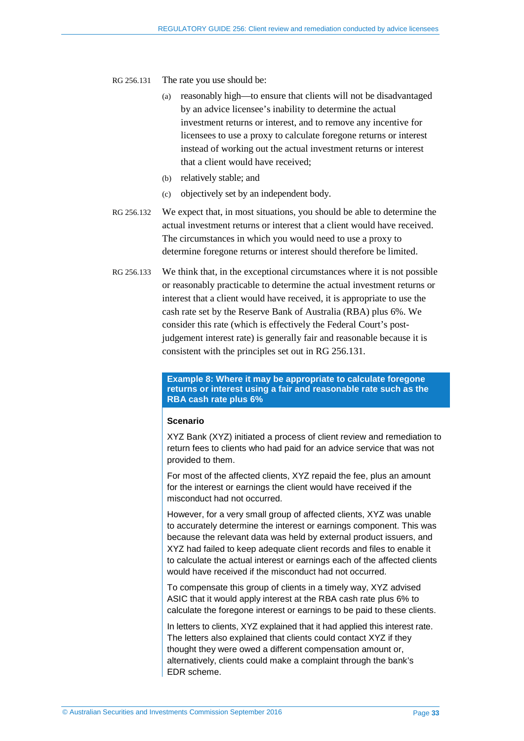<span id="page-32-0"></span>RG 256.131 The rate you use should be:

- (a) reasonably high—to ensure that clients will not be disadvantaged by an advice licensee's inability to determine the actual investment returns or interest, and to remove any incentive for licensees to use a proxy to calculate foregone returns or interest instead of working out the actual investment returns or interest that a client would have received;
- (b) relatively stable; and
- (c) objectively set by an independent body.
- RG 256.132 We expect that, in most situations, you should be able to determine the actual investment returns or interest that a client would have received. The circumstances in which you would need to use a proxy to determine foregone returns or interest should therefore be limited.
- RG 256.133 We think that, in the exceptional circumstances where it is not possible or reasonably practicable to determine the actual investment returns or interest that a client would have received, it is appropriate to use the cash rate set by the Reserve Bank of Australia (RBA) plus 6%. We consider this rate (which is effectively the Federal Court's postjudgement interest rate) is generally fair and reasonable because it is consistent with the principles set out in [RG 256.131.](#page-32-0)

**Example 8: Where it may be appropriate to calculate foregone returns or interest using a fair and reasonable rate such as the RBA cash rate plus 6%**

#### **Scenario**

XYZ Bank (XYZ) initiated a process of client review and remediation to return fees to clients who had paid for an advice service that was not provided to them.

For most of the affected clients, XYZ repaid the fee, plus an amount for the interest or earnings the client would have received if the misconduct had not occurred.

However, for a very small group of affected clients, XYZ was unable to accurately determine the interest or earnings component. This was because the relevant data was held by external product issuers, and XYZ had failed to keep adequate client records and files to enable it to calculate the actual interest or earnings each of the affected clients would have received if the misconduct had not occurred.

To compensate this group of clients in a timely way, XYZ advised ASIC that it would apply interest at the RBA cash rate plus 6% to calculate the foregone interest or earnings to be paid to these clients.

In letters to clients, XYZ explained that it had applied this interest rate. The letters also explained that clients could contact XYZ if they thought they were owed a different compensation amount or, alternatively, clients could make a complaint through the bank's EDR scheme.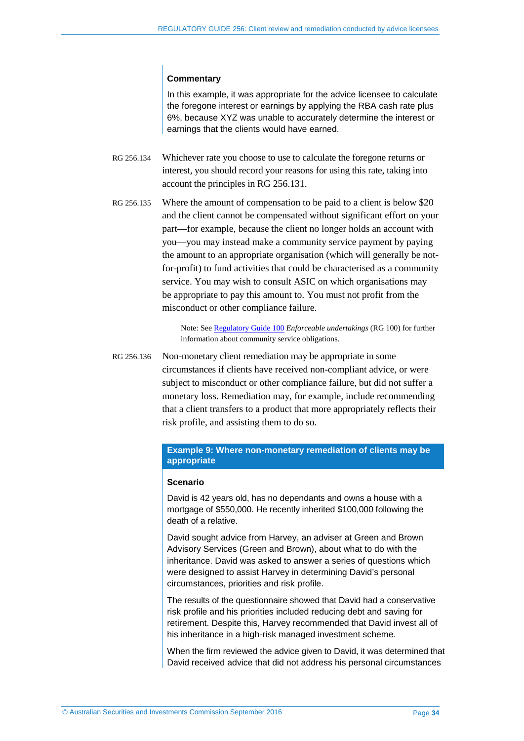#### **Commentary**

In this example, it was appropriate for the advice licensee to calculate the foregone interest or earnings by applying the RBA cash rate plus 6%, because XYZ was unable to accurately determine the interest or earnings that the clients would have earned.

- RG 256.134 Whichever rate you choose to use to calculate the foregone returns or interest, you should record your reasons for using this rate, taking into account the principles in [RG 256.131.](#page-32-0)
- RG 256.135 Where the amount of compensation to be paid to a client is below \$20 and the client cannot be compensated without significant effort on your part—for example, because the client no longer holds an account with you—you may instead make a community service payment by paying the amount to an appropriate organisation (which will generally be notfor-profit) to fund activities that could be characterised as a community service. You may wish to consult ASIC on which organisations may be appropriate to pay this amount to. You must not profit from the misconduct or other compliance failure.

Note: See [Regulatory Guide 100](http://asic.gov.au/regulatory-resources/find-a-document/regulatory-guides/rg-100-enforceable-undertakings/) *Enforceable undertakings* (RG 100) for further information about community service obligations.

RG 256.136 Non-monetary client remediation may be appropriate in some circumstances if clients have received non-compliant advice, or were subject to misconduct or other compliance failure, but did not suffer a monetary loss. Remediation may, for example, include recommending that a client transfers to a product that more appropriately reflects their risk profile, and assisting them to do so.

#### **Example 9: Where non-monetary remediation of clients may be appropriate**

#### **Scenario**

David is 42 years old, has no dependants and owns a house with a mortgage of \$550,000. He recently inherited \$100,000 following the death of a relative.

David sought advice from Harvey, an adviser at Green and Brown Advisory Services (Green and Brown), about what to do with the inheritance. David was asked to answer a series of questions which were designed to assist Harvey in determining David's personal circumstances, priorities and risk profile.

The results of the questionnaire showed that David had a conservative risk profile and his priorities included reducing debt and saving for retirement. Despite this, Harvey recommended that David invest all of his inheritance in a high-risk managed investment scheme.

When the firm reviewed the advice given to David, it was determined that David received advice that did not address his personal circumstances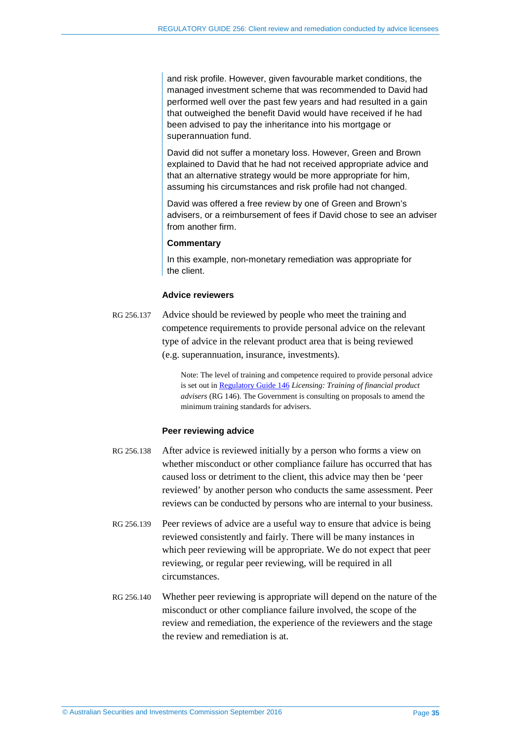and risk profile. However, given favourable market conditions, the managed investment scheme that was recommended to David had performed well over the past few years and had resulted in a gain that outweighed the benefit David would have received if he had been advised to pay the inheritance into his mortgage or superannuation fund.

David did not suffer a monetary loss. However, Green and Brown explained to David that he had not received appropriate advice and that an alternative strategy would be more appropriate for him, assuming his circumstances and risk profile had not changed.

David was offered a free review by one of Green and Brown's advisers, or a reimbursement of fees if David chose to see an adviser from another firm.

#### **Commentary**

In this example, non-monetary remediation was appropriate for the client.

#### **Advice reviewers**

RG 256.137 Advice should be reviewed by people who meet the training and competence requirements to provide personal advice on the relevant type of advice in the relevant product area that is being reviewed (e.g. superannuation, insurance, investments).

> Note: The level of training and competence required to provide personal advice is set out in [Regulatory Guide 146](http://asic.gov.au/regulatory-resources/find-a-document/regulatory-guides/rg-146-licensing-training-of-financial-product-advisers/) *Licensing: Training of financial product advisers* (RG 146). The Government is consulting on proposals to amend the minimum training standards for advisers.

#### **Peer reviewing advice**

- RG 256.138 After advice is reviewed initially by a person who forms a view on whether misconduct or other compliance failure has occurred that has caused loss or detriment to the client, this advice may then be 'peer reviewed' by another person who conducts the same assessment. Peer reviews can be conducted by persons who are internal to your business.
- RG 256.139 Peer reviews of advice are a useful way to ensure that advice is being reviewed consistently and fairly. There will be many instances in which peer reviewing will be appropriate. We do not expect that peer reviewing, or regular peer reviewing, will be required in all circumstances.
- RG 256.140 Whether peer reviewing is appropriate will depend on the nature of the misconduct or other compliance failure involved, the scope of the review and remediation, the experience of the reviewers and the stage the review and remediation is at.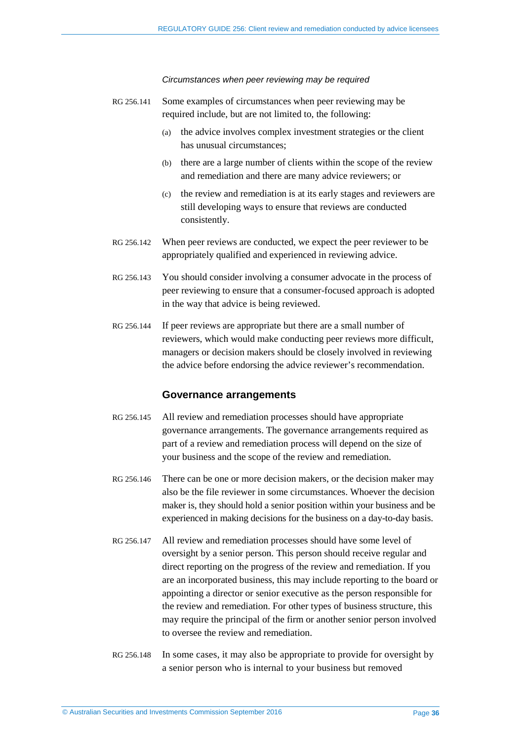#### *Circumstances when peer reviewing may be required*

- RG 256.141 Some examples of circumstances when peer reviewing may be required include, but are not limited to, the following:
	- (a) the advice involves complex investment strategies or the client has unusual circumstances;
	- (b) there are a large number of clients within the scope of the review and remediation and there are many advice reviewers; or
	- (c) the review and remediation is at its early stages and reviewers are still developing ways to ensure that reviews are conducted consistently.
- RG 256.142 When peer reviews are conducted, we expect the peer reviewer to be appropriately qualified and experienced in reviewing advice.
- RG 256.143 You should consider involving a consumer advocate in the process of peer reviewing to ensure that a consumer-focused approach is adopted in the way that advice is being reviewed.
- RG 256.144 If peer reviews are appropriate but there are a small number of reviewers, which would make conducting peer reviews more difficult, managers or decision makers should be closely involved in reviewing the advice before endorsing the advice reviewer's recommendation.

#### **Governance arrangements**

- RG 256.145 All review and remediation processes should have appropriate governance arrangements. The governance arrangements required as part of a review and remediation process will depend on the size of your business and the scope of the review and remediation.
- RG 256.146 There can be one or more decision makers, or the decision maker may also be the file reviewer in some circumstances. Whoever the decision maker is, they should hold a senior position within your business and be experienced in making decisions for the business on a day-to-day basis.
- <span id="page-35-0"></span>RG 256.147 All review and remediation processes should have some level of oversight by a senior person. This person should receive regular and direct reporting on the progress of the review and remediation. If you are an incorporated business, this may include reporting to the board or appointing a director or senior executive as the person responsible for the review and remediation. For other types of business structure, this may require the principal of the firm or another senior person involved to oversee the review and remediation.
- RG 256.148 In some cases, it may also be appropriate to provide for oversight by a senior person who is internal to your business but removed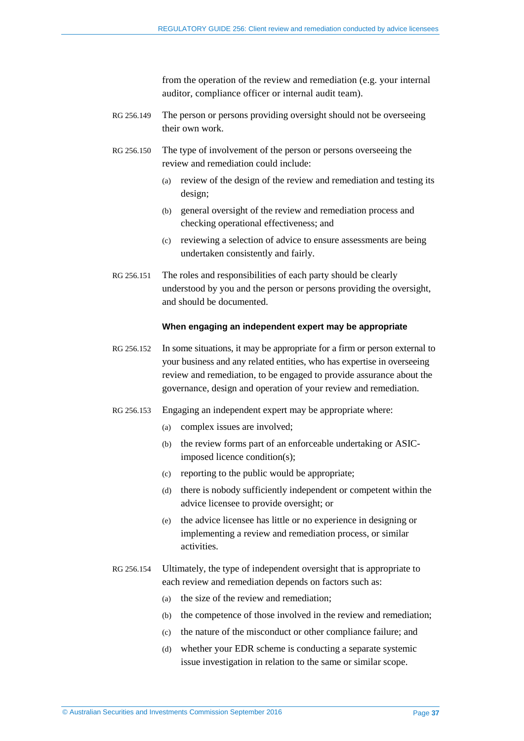from the operation of the review and remediation (e.g. your internal auditor, compliance officer or internal audit team).

- RG 256.149 The person or persons providing oversight should not be overseeing their own work.
- RG 256.150 The type of involvement of the person or persons overseeing the review and remediation could include:
	- (a) review of the design of the review and remediation and testing its design;
	- (b) general oversight of the review and remediation process and checking operational effectiveness; and
	- (c) reviewing a selection of advice to ensure assessments are being undertaken consistently and fairly.
- RG 256.151 The roles and responsibilities of each party should be clearly understood by you and the person or persons providing the oversight, and should be documented.

#### **When engaging an independent expert may be appropriate**

- RG 256.152 In some situations, it may be appropriate for a firm or person external to your business and any related entities, who has expertise in overseeing review and remediation, to be engaged to provide assurance about the governance, design and operation of your review and remediation.
- RG 256.153 Engaging an independent expert may be appropriate where:
	- (a) complex issues are involved;
	- (b) the review forms part of an enforceable undertaking or ASICimposed licence condition(s);
	- (c) reporting to the public would be appropriate;
	- (d) there is nobody sufficiently independent or competent within the advice licensee to provide oversight; or
	- (e) the advice licensee has little or no experience in designing or implementing a review and remediation process, or similar activities.
- RG 256.154 Ultimately, the type of independent oversight that is appropriate to each review and remediation depends on factors such as:
	- (a) the size of the review and remediation;
	- (b) the competence of those involved in the review and remediation;
	- (c) the nature of the misconduct or other compliance failure; and
	- (d) whether your EDR scheme is conducting a separate systemic issue investigation in relation to the same or similar scope.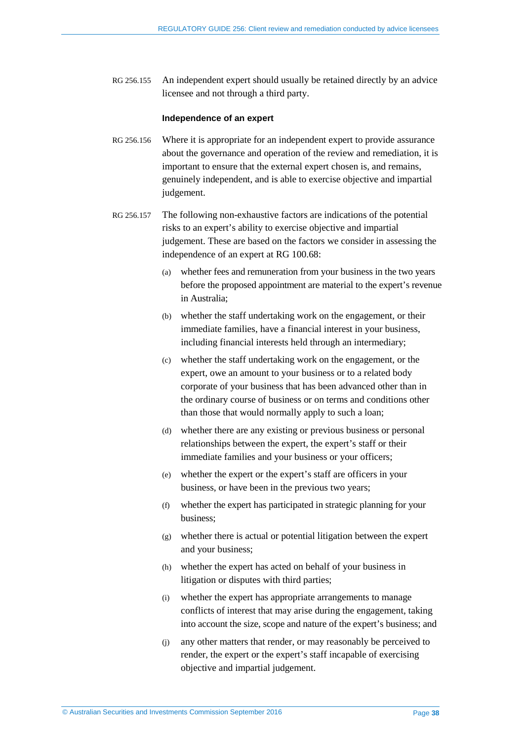RG 256.155 An independent expert should usually be retained directly by an advice licensee and not through a third party.

#### **Independence of an expert**

- RG 256.156 Where it is appropriate for an independent expert to provide assurance about the governance and operation of the review and remediation, it is important to ensure that the external expert chosen is, and remains, genuinely independent, and is able to exercise objective and impartial judgement.
- RG 256.157 The following non-exhaustive factors are indications of the potential risks to an expert's ability to exercise objective and impartial judgement. These are based on the factors we consider in assessing the independence of an expert at RG 100.68:
	- (a) whether fees and remuneration from your business in the two years before the proposed appointment are material to the expert's revenue in Australia;
	- (b) whether the staff undertaking work on the engagement, or their immediate families, have a financial interest in your business, including financial interests held through an intermediary;
	- (c) whether the staff undertaking work on the engagement, or the expert, owe an amount to your business or to a related body corporate of your business that has been advanced other than in the ordinary course of business or on terms and conditions other than those that would normally apply to such a loan;
	- (d) whether there are any existing or previous business or personal relationships between the expert, the expert's staff or their immediate families and your business or your officers;
	- (e) whether the expert or the expert's staff are officers in your business, or have been in the previous two years;
	- (f) whether the expert has participated in strategic planning for your business;
	- (g) whether there is actual or potential litigation between the expert and your business;
	- (h) whether the expert has acted on behalf of your business in litigation or disputes with third parties;
	- (i) whether the expert has appropriate arrangements to manage conflicts of interest that may arise during the engagement, taking into account the size, scope and nature of the expert's business; and
	- (j) any other matters that render, or may reasonably be perceived to render, the expert or the expert's staff incapable of exercising objective and impartial judgement.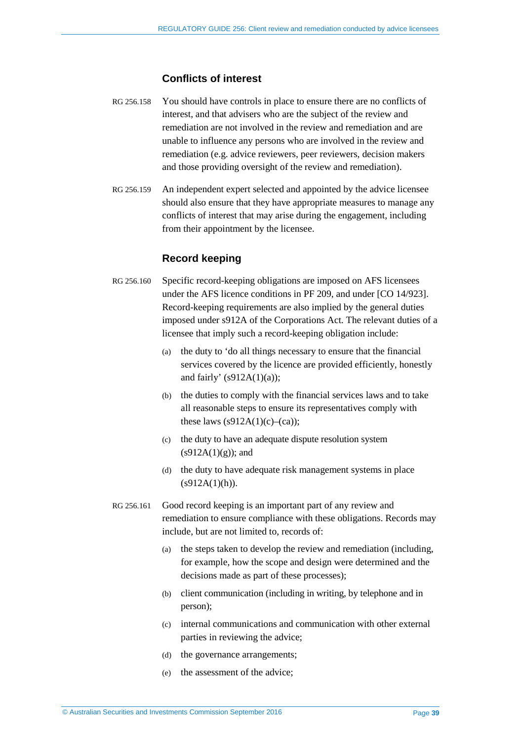#### **Conflicts of interest**

- RG 256.158 You should have controls in place to ensure there are no conflicts of interest, and that advisers who are the subject of the review and remediation are not involved in the review and remediation and are unable to influence any persons who are involved in the review and remediation (e.g. advice reviewers, peer reviewers, decision makers and those providing oversight of the review and remediation).
- RG 256.159 An independent expert selected and appointed by the advice licensee should also ensure that they have appropriate measures to manage any conflicts of interest that may arise during the engagement, including from their appointment by the licensee.

## **Record keeping**

- <span id="page-38-0"></span>RG 256.160 Specific record-keeping obligations are imposed on AFS licensees under the AFS licence conditions in PF 209, and under [CO 14/923]. Record-keeping requirements are also implied by the general duties imposed under s912A of the Corporations Act. The relevant duties of a licensee that imply such a record-keeping obligation include:
	- (a) the duty to 'do all things necessary to ensure that the financial services covered by the licence are provided efficiently, honestly and fairly'  $(s912A(1)(a))$ ;
	- (b) the duties to comply with the financial services laws and to take all reasonable steps to ensure its representatives comply with these laws  $(s912A(1)(c)-(ca))$ ;
	- (c) the duty to have an adequate dispute resolution system  $(s912A(1)(g))$ ; and
	- (d) the duty to have adequate risk management systems in place  $(s912A(1)(h)).$
- RG 256.161 Good record keeping is an important part of any review and remediation to ensure compliance with these obligations. Records may include, but are not limited to, records of:
	- (a) the steps taken to develop the review and remediation (including, for example, how the scope and design were determined and the decisions made as part of these processes);
	- (b) client communication (including in writing, by telephone and in person);
	- (c) internal communications and communication with other external parties in reviewing the advice;
	- (d) the governance arrangements;
	- (e) the assessment of the advice;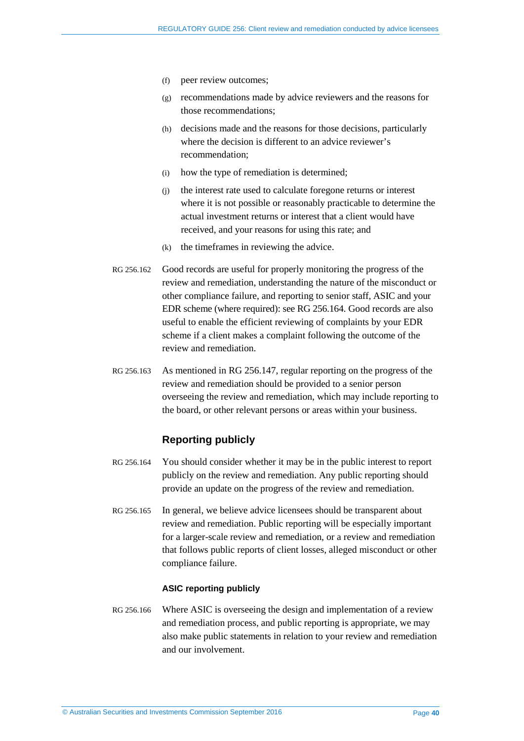- (f) peer review outcomes;
- (g) recommendations made by advice reviewers and the reasons for those recommendations;
- (h) decisions made and the reasons for those decisions, particularly where the decision is different to an advice reviewer's recommendation;
- (i) how the type of remediation is determined;
- (j) the interest rate used to calculate foregone returns or interest where it is not possible or reasonably practicable to determine the actual investment returns or interest that a client would have received, and your reasons for using this rate; and
- (k) the timeframes in reviewing the advice.
- RG 256.162 Good records are useful for properly monitoring the progress of the review and remediation, understanding the nature of the misconduct or other compliance failure, and reporting to senior staff, ASIC and your EDR scheme (where required): see RG [256.164.](#page-39-1) Good records are also useful to enable the efficient reviewing of complaints by your EDR scheme if a client makes a complaint following the outcome of the review and remediation.
- <span id="page-39-0"></span>RG 256.163 As mentioned in [RG 256.147,](#page-35-0) regular reporting on the progress of the review and remediation should be provided to a senior person overseeing the review and remediation, which may include reporting to the board, or other relevant persons or areas within your business.

#### **Reporting publicly**

- <span id="page-39-1"></span>RG 256.164 You should consider whether it may be in the public interest to report publicly on the review and remediation. Any public reporting should provide an update on the progress of the review and remediation.
- RG 256.165 In general, we believe advice licensees should be transparent about review and remediation. Public reporting will be especially important for a larger-scale review and remediation, or a review and remediation that follows public reports of client losses, alleged misconduct or other compliance failure.

#### **ASIC reporting publicly**

RG 256.166 Where ASIC is overseeing the design and implementation of a review and remediation process, and public reporting is appropriate, we may also make public statements in relation to your review and remediation and our involvement.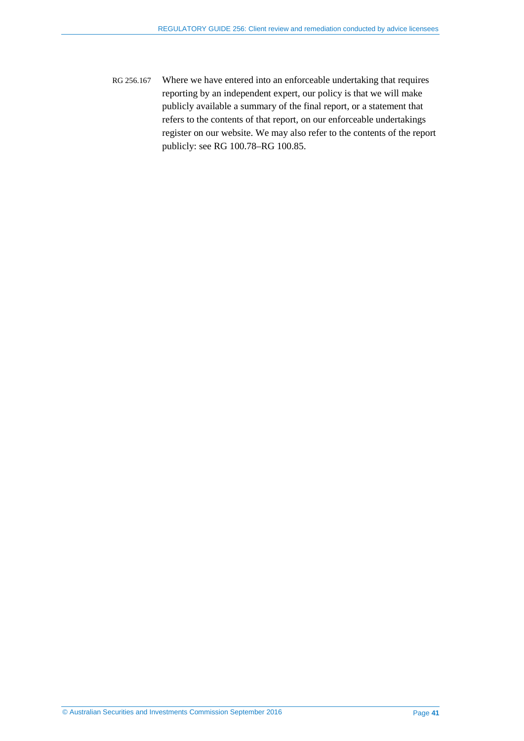<span id="page-40-0"></span>RG 256.167 Where we have entered into an enforceable undertaking that requires reporting by an independent expert, our policy is that we will make publicly available a summary of the final report, or a statement that refers to the contents of that report, on our enforceable undertakings register on our website. We may also refer to the contents of the report publicly: see RG 100.78–RG 100.85.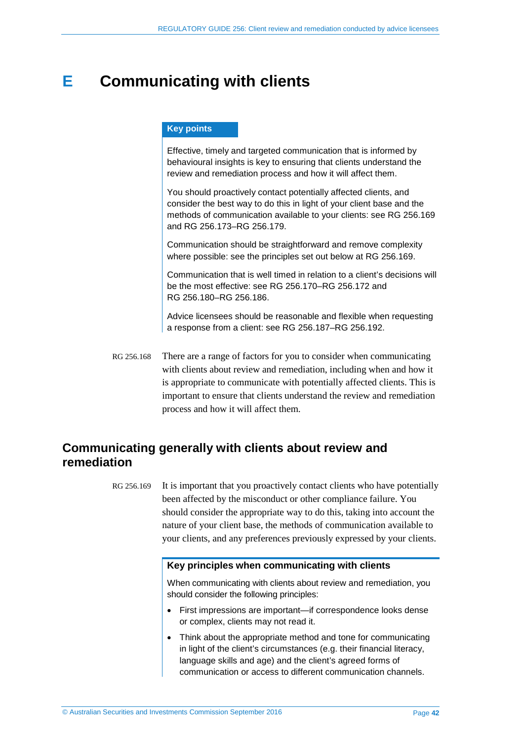## <span id="page-41-0"></span>**E Communicating with clients**

#### **Key points**

Effective, timely and targeted communication that is informed by behavioural insights is key to ensuring that clients understand the review and remediation process and how it will affect them.

You should proactively contact potentially affected clients, and consider the best way to do this in light of your client base and the methods of communication available to your clients: see RG [256.169](#page-41-2) and RG [256.173–](#page-42-1)RG [256.179.](#page-43-1)

Communication should be straightforward and remove complexity where possible: see the principles set out below at RG [256.169.](#page-41-2)

Communication that is well timed in relation to a client's decisions will be the most effective: see RG [256.170–](#page-42-2)RG [256.172](#page-42-3) and RG [256.180–](#page-43-0)RG [256.186.](#page-45-0)

Advice licensees should be reasonable and flexible when requesting a response from a client: see RG [256.187–](#page-45-1)RG [256.192.](#page-45-2)

RG 256.168 There are a range of factors for you to consider when communicating with clients about review and remediation, including when and how it is appropriate to communicate with potentially affected clients. This is important to ensure that clients understand the review and remediation process and how it will affect them.

## <span id="page-41-2"></span><span id="page-41-1"></span>**Communicating generally with clients about review and remediation**

RG 256.169 It is important that you proactively contact clients who have potentially been affected by the misconduct or other compliance failure. You should consider the appropriate way to do this, taking into account the nature of your client base, the methods of communication available to your clients, and any preferences previously expressed by your clients.

#### **Key principles when communicating with clients**

When communicating with clients about review and remediation, you should consider the following principles:

- First impressions are important—if correspondence looks dense or complex, clients may not read it.
- Think about the appropriate method and tone for communicating in light of the client's circumstances (e.g. their financial literacy, language skills and age) and the client's agreed forms of communication or access to different communication channels.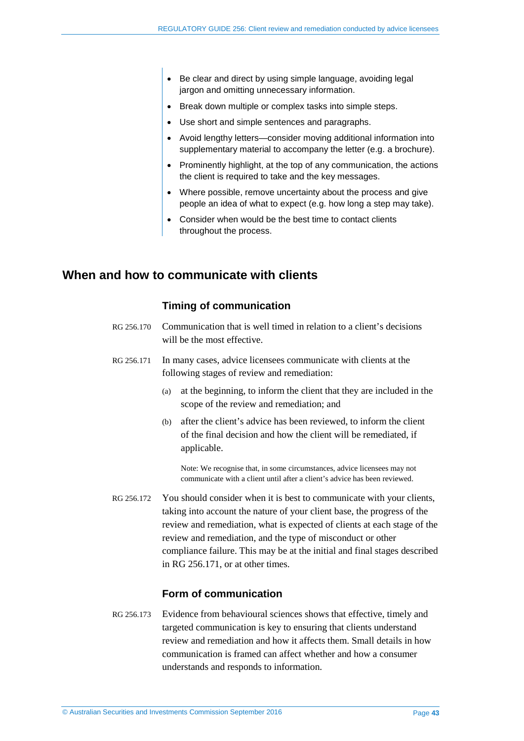- Be clear and direct by using simple language, avoiding legal jargon and omitting unnecessary information.
- Break down multiple or complex tasks into simple steps.
- Use short and simple sentences and paragraphs.
- Avoid lengthy letters—consider moving additional information into supplementary material to accompany the letter (e.g. a brochure).
- Prominently highlight, at the top of any communication, the actions the client is required to take and the key messages.
- Where possible, remove uncertainty about the process and give people an idea of what to expect (e.g. how long a step may take).
- Consider when would be the best time to contact clients throughout the process.

## <span id="page-42-2"></span><span id="page-42-0"></span>**When and how to communicate with clients**

#### **Timing of communication**

- RG 256.170 Communication that is well timed in relation to a client's decisions will be the most effective.
- <span id="page-42-4"></span>RG 256.171 In many cases, advice licensees communicate with clients at the following stages of review and remediation:
	- (a) at the beginning, to inform the client that they are included in the scope of the review and remediation; and
	- (b) after the client's advice has been reviewed, to inform the client of the final decision and how the client will be remediated, if applicable.

Note: We recognise that, in some circumstances, advice licensees may not communicate with a client until after a client's advice has been reviewed.

<span id="page-42-3"></span>RG 256.172 You should consider when it is best to communicate with your clients, taking into account the nature of your client base, the progress of the review and remediation, what is expected of clients at each stage of the review and remediation, and the type of misconduct or other compliance failure. This may be at the initial and final stages described in [RG 256.171,](#page-42-4) or at other times.

#### **Form of communication**

<span id="page-42-1"></span>RG 256.173 Evidence from behavioural sciences shows that effective, timely and targeted communication is key to ensuring that clients understand review and remediation and how it affects them. Small details in how communication is framed can affect whether and how a consumer understands and responds to information.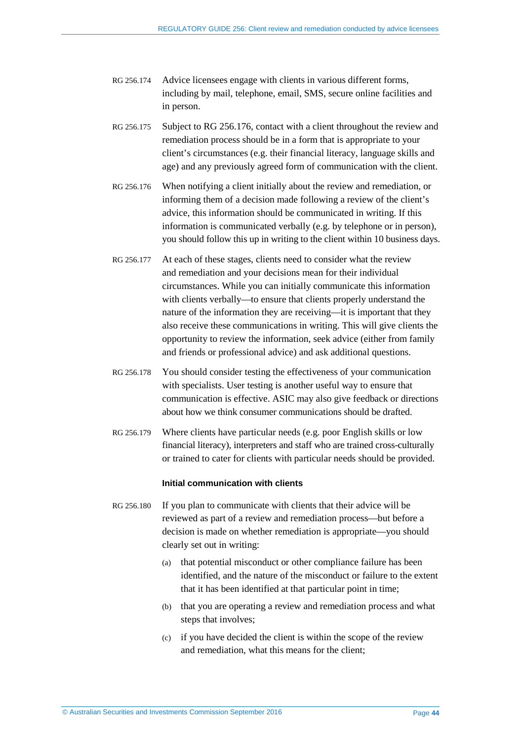- RG 256.174 Advice licensees engage with clients in various different forms, including by mail, telephone, email, SMS, secure online facilities and in person.
- RG 256.175 Subject to [RG 256.176,](#page-43-2) contact with a client throughout the review and remediation process should be in a form that is appropriate to your client's circumstances (e.g. their financial literacy, language skills and age) and any previously agreed form of communication with the client.
- <span id="page-43-2"></span>RG 256.176 When notifying a client initially about the review and remediation, or informing them of a decision made following a review of the client's advice, this information should be communicated in writing. If this information is communicated verbally (e.g. by telephone or in person), you should follow this up in writing to the client within 10 business days.
- RG 256.177 At each of these stages, clients need to consider what the review and remediation and your decisions mean for their individual circumstances. While you can initially communicate this information with clients verbally—to ensure that clients properly understand the nature of the information they are receiving—it is important that they also receive these communications in writing. This will give clients the opportunity to review the information, seek advice (either from family and friends or professional advice) and ask additional questions.
- RG 256.178 You should consider testing the effectiveness of your communication with specialists. User testing is another useful way to ensure that communication is effective. ASIC may also give feedback or directions about how we think consumer communications should be drafted.
- <span id="page-43-1"></span>RG 256.179 Where clients have particular needs (e.g. poor English skills or low financial literacy), interpreters and staff who are trained cross-culturally or trained to cater for clients with particular needs should be provided.

#### **Initial communication with clients**

- <span id="page-43-0"></span>RG 256.180 If you plan to communicate with clients that their advice will be reviewed as part of a review and remediation process—but before a decision is made on whether remediation is appropriate—you should clearly set out in writing:
	- (a) that potential misconduct or other compliance failure has been identified, and the nature of the misconduct or failure to the extent that it has been identified at that particular point in time;
	- (b) that you are operating a review and remediation process and what steps that involves;
	- (c) if you have decided the client is within the scope of the review and remediation, what this means for the client;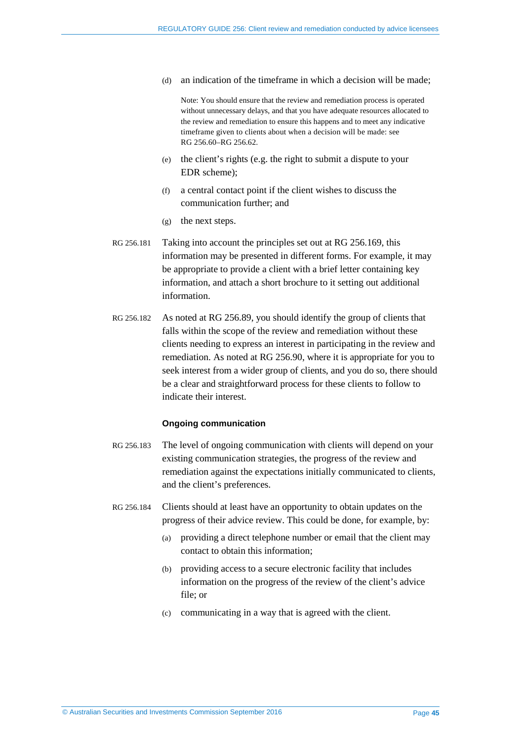(d) an indication of the timeframe in which a decision will be made;

Note: You should ensure that the review and remediation process is operated without unnecessary delays, and that you have adequate resources allocated to the review and remediation to ensure this happens and to meet any indicative timeframe given to clients about when a decision will be made: see RG [256.60–](#page-15-0)RG [256.62.](#page-15-1)

- (e) the client's rights (e.g. the right to submit a dispute to your EDR scheme);
- (f) a central contact point if the client wishes to discuss the communication further; and
- (g) the next steps.
- RG 256.181 Taking into account the principles set out at [RG 256.169,](#page-41-2) this information may be presented in different forms. For example, it may be appropriate to provide a client with a brief letter containing key information, and attach a short brochure to it setting out additional information.
- RG 256.182 As noted at [RG 256.89,](#page-21-2) you should identify the group of clients that falls within the scope of the review and remediation without these clients needing to express an interest in participating in the review and remediation. As noted at [RG 256.90,](#page-21-4) where it is appropriate for you to seek interest from a wider group of clients, and you do so, there should be a clear and straightforward process for these clients to follow to indicate their interest.

#### **Ongoing communication**

- RG 256.183 The level of ongoing communication with clients will depend on your existing communication strategies, the progress of the review and remediation against the expectations initially communicated to clients, and the client's preferences.
- RG 256.184 Clients should at least have an opportunity to obtain updates on the progress of their advice review. This could be done, for example, by:
	- (a) providing a direct telephone number or email that the client may contact to obtain this information;
	- (b) providing access to a secure electronic facility that includes information on the progress of the review of the client's advice file; or
	- (c) communicating in a way that is agreed with the client.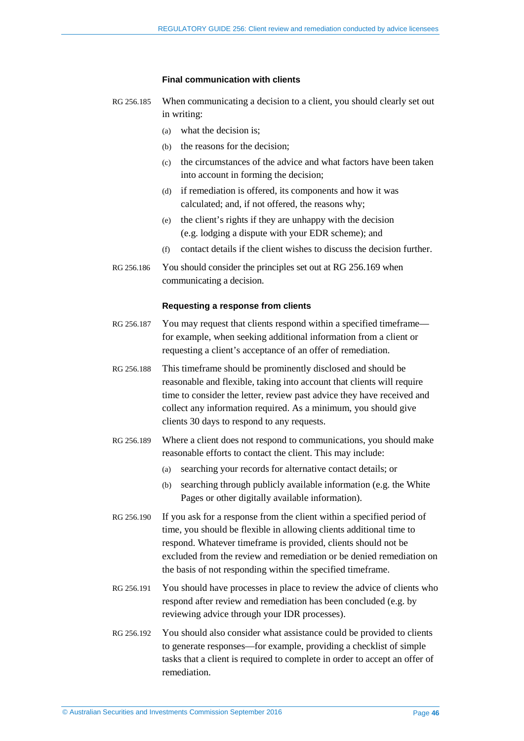#### **Final communication with clients**

- RG 256.185 When communicating a decision to a client, you should clearly set out in writing:
	- (a) what the decision is;
	- (b) the reasons for the decision;
	- (c) the circumstances of the advice and what factors have been taken into account in forming the decision;
	- (d) if remediation is offered, its components and how it was calculated; and, if not offered, the reasons why;
	- (e) the client's rights if they are unhappy with the decision (e.g. lodging a dispute with your EDR scheme); and
	- (f) contact details if the client wishes to discuss the decision further.
- <span id="page-45-0"></span>RG 256.186 You should consider the principles set out at [RG 256.169](#page-41-2) when communicating a decision.

#### **Requesting a response from clients**

- <span id="page-45-1"></span>RG 256.187 You may request that clients respond within a specified timeframe for example, when seeking additional information from a client or requesting a client's acceptance of an offer of remediation.
- RG 256.188 This timeframe should be prominently disclosed and should be reasonable and flexible, taking into account that clients will require time to consider the letter, review past advice they have received and collect any information required. As a minimum, you should give clients 30 days to respond to any requests.
- RG 256.189 Where a client does not respond to communications, you should make reasonable efforts to contact the client. This may include:
	- (a) searching your records for alternative contact details; or
	- (b) searching through publicly available information (e.g. the White Pages or other digitally available information).
- RG 256.190 If you ask for a response from the client within a specified period of time, you should be flexible in allowing clients additional time to respond. Whatever timeframe is provided, clients should not be excluded from the review and remediation or be denied remediation on the basis of not responding within the specified timeframe.
- RG 256.191 You should have processes in place to review the advice of clients who respond after review and remediation has been concluded (e.g. by reviewing advice through your IDR processes).
- <span id="page-45-2"></span>RG 256.192 You should also consider what assistance could be provided to clients to generate responses—for example, providing a checklist of simple tasks that a client is required to complete in order to accept an offer of remediation.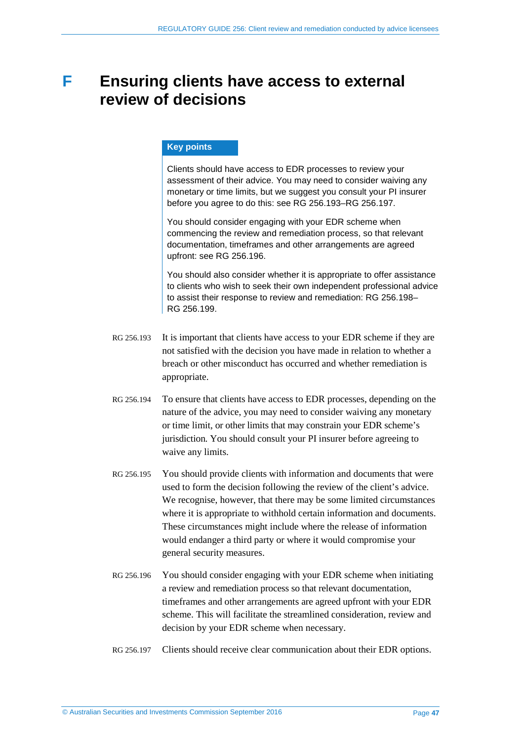## <span id="page-46-0"></span>**F Ensuring clients have access to external review of decisions**

#### **Key points**

Clients should have access to EDR processes to review your assessment of their advice. You may need to consider waiving any monetary or time limits, but we suggest you consult your PI insurer before you agree to do this: see RG [256.193–](#page-46-1)RG [256.197.](#page-46-2)

You should consider engaging with your EDR scheme when commencing the review and remediation process, so that relevant documentation, timeframes and other arrangements are agreed upfront: see RG [256.196.](#page-46-3)

You should also consider whether it is appropriate to offer assistance to clients who wish to seek their own independent professional advice to assist their response to review and remediation: RG [256.198–](#page-47-1) RG [256.199.](#page-47-2)

- <span id="page-46-1"></span>RG 256.193 It is important that clients have access to your EDR scheme if they are not satisfied with the decision you have made in relation to whether a breach or other misconduct has occurred and whether remediation is appropriate.
- RG 256.194 To ensure that clients have access to EDR processes, depending on the nature of the advice, you may need to consider waiving any monetary or time limit, or other limits that may constrain your EDR scheme's jurisdiction. You should consult your PI insurer before agreeing to waive any limits.
- RG 256.195 You should provide clients with information and documents that were used to form the decision following the review of the client's advice. We recognise, however, that there may be some limited circumstances where it is appropriate to withhold certain information and documents. These circumstances might include where the release of information would endanger a third party or where it would compromise your general security measures.
- <span id="page-46-3"></span>RG 256.196 You should consider engaging with your EDR scheme when initiating a review and remediation process so that relevant documentation, timeframes and other arrangements are agreed upfront with your EDR scheme. This will facilitate the streamlined consideration, review and decision by your EDR scheme when necessary.
- <span id="page-46-2"></span>RG 256.197 Clients should receive clear communication about their EDR options.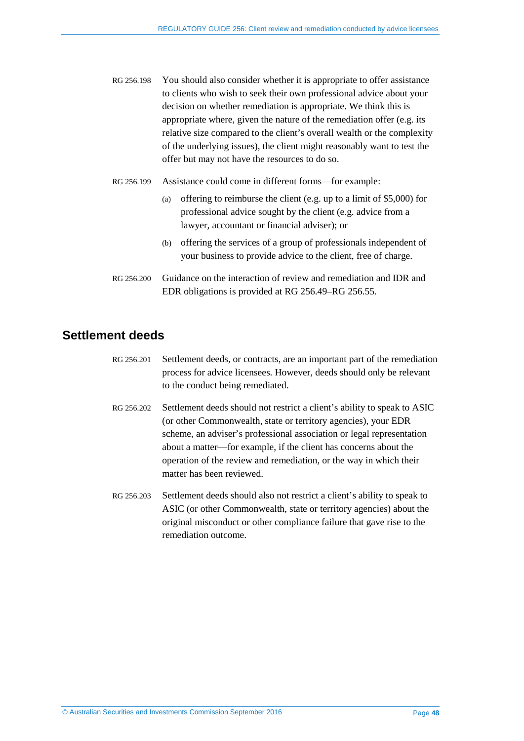- <span id="page-47-1"></span>RG 256.198 You should also consider whether it is appropriate to offer assistance to clients who wish to seek their own professional advice about your decision on whether remediation is appropriate. We think this is appropriate where, given the nature of the remediation offer (e.g. its relative size compared to the client's overall wealth or the complexity of the underlying issues), the client might reasonably want to test the offer but may not have the resources to do so.
- <span id="page-47-2"></span>RG 256.199 Assistance could come in different forms—for example:
	- (a) offering to reimburse the client (e.g. up to a limit of \$5,000) for professional advice sought by the client (e.g. advice from a lawyer, accountant or financial adviser); or
	- (b) offering the services of a group of professionals independent of your business to provide advice to the client, free of charge.
- RG 256.200 Guidance on the interaction of review and remediation and IDR and EDR obligations is provided at [RG 256.49](#page-13-1)[–RG 256.55.](#page-14-1)

## <span id="page-47-0"></span>**Settlement deeds**

- RG 256.201 Settlement deeds, or contracts, are an important part of the remediation process for advice licensees. However, deeds should only be relevant to the conduct being remediated.
- RG 256.202 Settlement deeds should not restrict a client's ability to speak to ASIC (or other Commonwealth, state or territory agencies), your EDR scheme, an adviser's professional association or legal representation about a matter—for example, if the client has concerns about the operation of the review and remediation, or the way in which their matter has been reviewed.
- RG 256.203 Settlement deeds should also not restrict a client's ability to speak to ASIC (or other Commonwealth, state or territory agencies) about the original misconduct or other compliance failure that gave rise to the remediation outcome.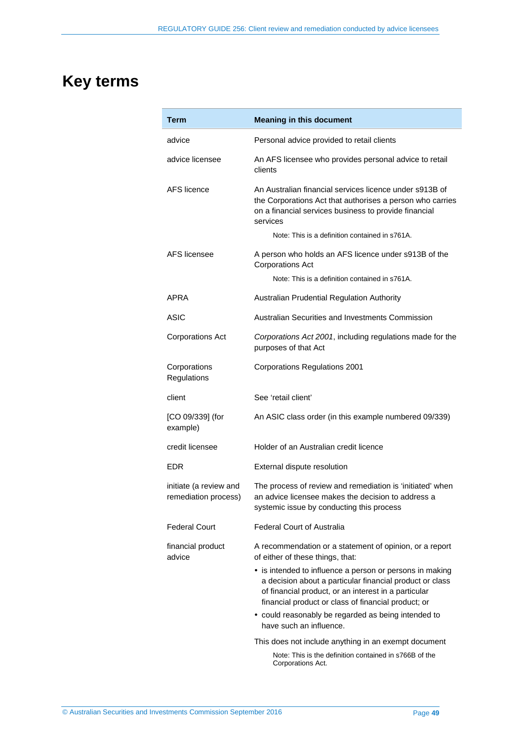# <span id="page-48-0"></span>**Key terms**

| Term                                           | <b>Meaning in this document</b>                                                                                                                                                                                                     |
|------------------------------------------------|-------------------------------------------------------------------------------------------------------------------------------------------------------------------------------------------------------------------------------------|
| advice                                         | Personal advice provided to retail clients                                                                                                                                                                                          |
| advice licensee                                | An AFS licensee who provides personal advice to retail<br>clients                                                                                                                                                                   |
| AFS licence                                    | An Australian financial services licence under s913B of<br>the Corporations Act that authorises a person who carries<br>on a financial services business to provide financial<br>services                                           |
|                                                | Note: This is a definition contained in s761A.                                                                                                                                                                                      |
| AFS licensee                                   | A person who holds an AFS licence under s913B of the<br><b>Corporations Act</b>                                                                                                                                                     |
|                                                | Note: This is a definition contained in s761A.                                                                                                                                                                                      |
| APRA                                           | Australian Prudential Regulation Authority                                                                                                                                                                                          |
| <b>ASIC</b>                                    | Australian Securities and Investments Commission                                                                                                                                                                                    |
| <b>Corporations Act</b>                        | Corporations Act 2001, including regulations made for the<br>purposes of that Act                                                                                                                                                   |
| Corporations<br>Regulations                    | <b>Corporations Regulations 2001</b>                                                                                                                                                                                                |
| client                                         | See 'retail client'                                                                                                                                                                                                                 |
| [CO 09/339] (for<br>example)                   | An ASIC class order (in this example numbered 09/339)                                                                                                                                                                               |
| credit licensee                                | Holder of an Australian credit licence                                                                                                                                                                                              |
| <b>EDR</b>                                     | External dispute resolution                                                                                                                                                                                                         |
| initiate (a review and<br>remediation process) | The process of review and remediation is 'initiated' when<br>an advice licensee makes the decision to address a<br>systemic issue by conducting this process                                                                        |
| <b>Federal Court</b>                           | <b>Federal Court of Australia</b>                                                                                                                                                                                                   |
| financial product<br>advice                    | A recommendation or a statement of opinion, or a report<br>of either of these things, that:                                                                                                                                         |
|                                                | • is intended to influence a person or persons in making<br>a decision about a particular financial product or class<br>of financial product, or an interest in a particular<br>financial product or class of financial product; or |
|                                                | • could reasonably be regarded as being intended to<br>have such an influence.                                                                                                                                                      |
|                                                | This does not include anything in an exempt document                                                                                                                                                                                |
|                                                | Note: This is the definition contained in s766B of the<br>Corporations Act.                                                                                                                                                         |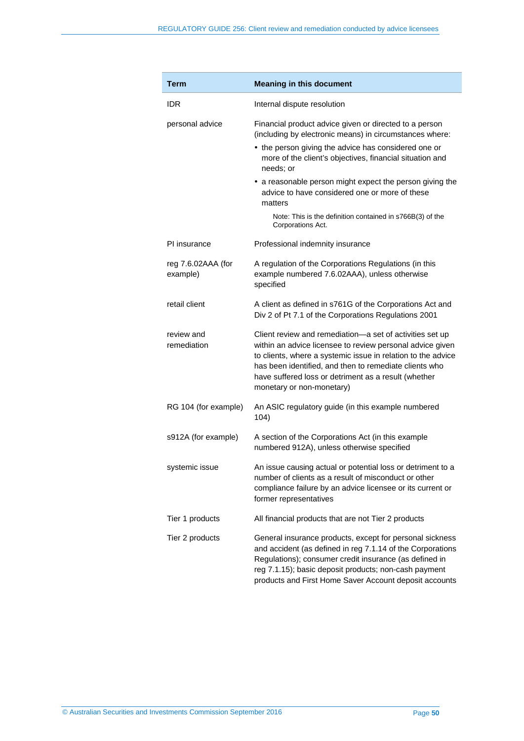| Term                           | <b>Meaning in this document</b>                                                                                                                                                                                                                                                                                                      |
|--------------------------------|--------------------------------------------------------------------------------------------------------------------------------------------------------------------------------------------------------------------------------------------------------------------------------------------------------------------------------------|
| IDR                            | Internal dispute resolution                                                                                                                                                                                                                                                                                                          |
| personal advice                | Financial product advice given or directed to a person<br>(including by electronic means) in circumstances where:                                                                                                                                                                                                                    |
|                                | • the person giving the advice has considered one or<br>more of the client's objectives, financial situation and<br>needs; or                                                                                                                                                                                                        |
|                                | • a reasonable person might expect the person giving the<br>advice to have considered one or more of these<br>matters                                                                                                                                                                                                                |
|                                | Note: This is the definition contained in s766B(3) of the<br>Corporations Act.                                                                                                                                                                                                                                                       |
| PI insurance                   | Professional indemnity insurance                                                                                                                                                                                                                                                                                                     |
| reg 7.6.02AAA (for<br>example) | A regulation of the Corporations Regulations (in this<br>example numbered 7.6.02AAA), unless otherwise<br>specified                                                                                                                                                                                                                  |
| retail client                  | A client as defined in s761G of the Corporations Act and<br>Div 2 of Pt 7.1 of the Corporations Regulations 2001                                                                                                                                                                                                                     |
| review and<br>remediation      | Client review and remediation-a set of activities set up<br>within an advice licensee to review personal advice given<br>to clients, where a systemic issue in relation to the advice<br>has been identified, and then to remediate clients who<br>have suffered loss or detriment as a result (whether<br>monetary or non-monetary) |
| RG 104 (for example)           | An ASIC regulatory guide (in this example numbered<br>104)                                                                                                                                                                                                                                                                           |
| s912A (for example)            | A section of the Corporations Act (in this example<br>numbered 912A), unless otherwise specified                                                                                                                                                                                                                                     |
| systemic issue                 | An issue causing actual or potential loss or detriment to a<br>number of clients as a result of misconduct or other<br>compliance failure by an advice licensee or its current or<br>former representatives                                                                                                                          |
| Tier 1 products                | All financial products that are not Tier 2 products                                                                                                                                                                                                                                                                                  |
| Tier 2 products                | General insurance products, except for personal sickness<br>and accident (as defined in reg 7.1.14 of the Corporations<br>Regulations); consumer credit insurance (as defined in<br>reg 7.1.15); basic deposit products; non-cash payment<br>products and First Home Saver Account deposit accounts                                  |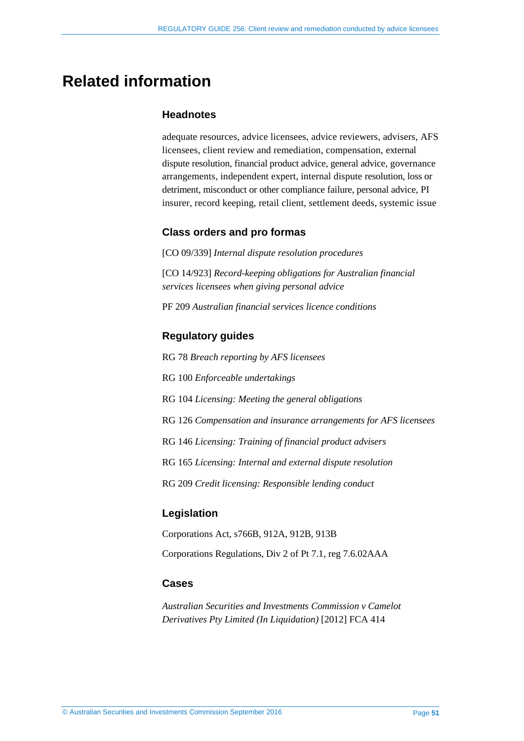## <span id="page-50-0"></span>**Related information**

#### **Headnotes**

adequate resources, advice licensees, advice reviewers, advisers, AFS licensees, client review and remediation, compensation, external dispute resolution, financial product advice, general advice, governance arrangements, independent expert, internal dispute resolution, loss or detriment, misconduct or other compliance failure, personal advice, PI insurer, record keeping, retail client, settlement deeds, systemic issue

### **Class orders and pro formas**

[CO 09/339] *Internal dispute resolution procedures* 

[CO 14/923] *Record-keeping obligations for Australian financial services licensees when giving personal advice*

PF 209 *Australian financial services licence conditions*

### **Regulatory guides**

RG 78 *Breach reporting by AFS licensees*

RG 100 *Enforceable undertakings*

RG 104 *Licensing: Meeting the general obligations*

- RG 126 *Compensation and insurance arrangements for AFS licensees*
- RG 146 *Licensing: Training of financial product advisers*

RG 165 *Licensing: Internal and external dispute resolution*

RG 209 *Credit licensing: Responsible lending conduct*

#### **Legislation**

Corporations Act, s766B, 912A, 912B, 913B Corporations Regulations, Div 2 of Pt 7.1, reg 7.6.02AAA

## **Cases**

*Australian Securities and Investments Commission v Camelot Derivatives Pty Limited (In Liquidation)* [2012] FCA 414